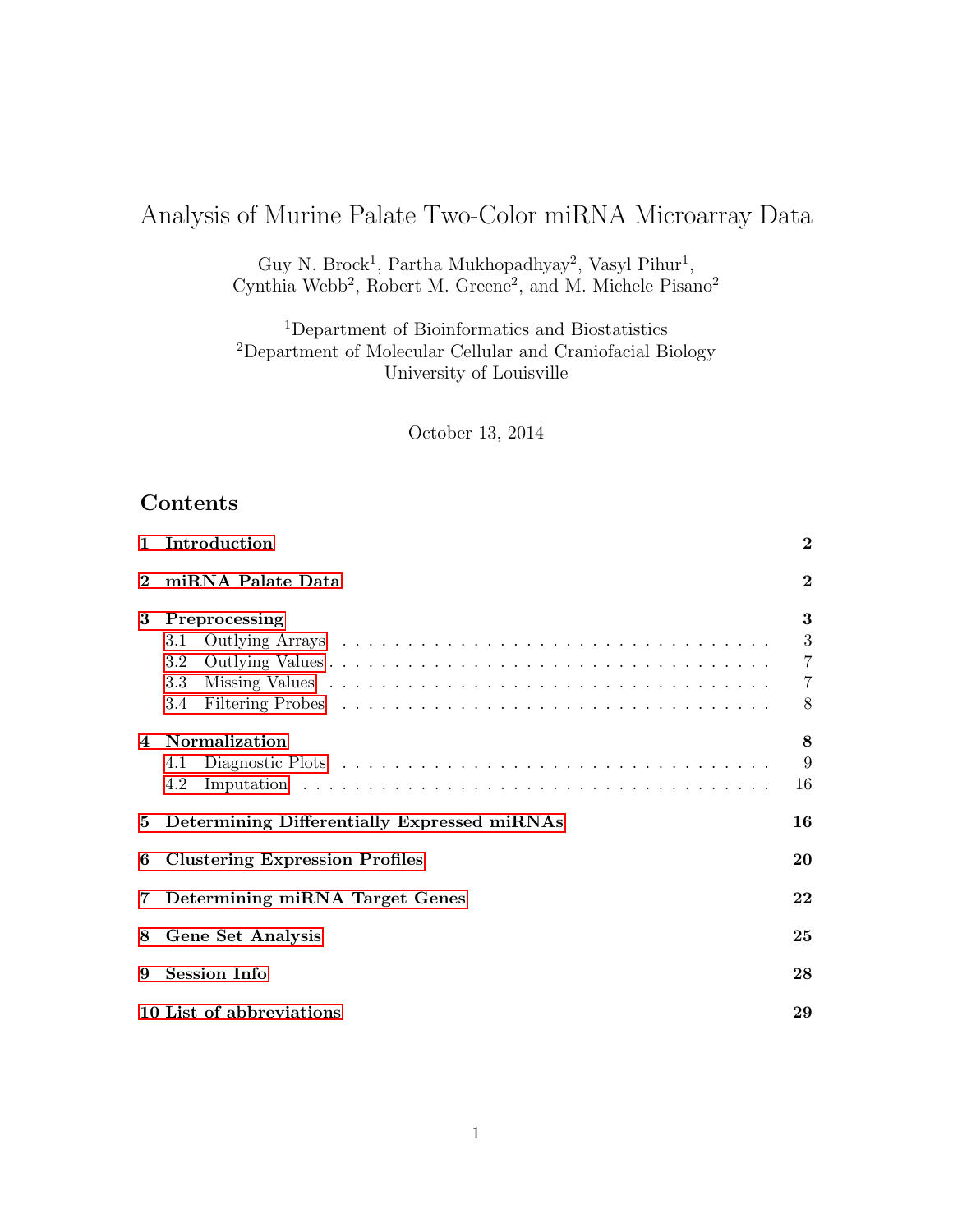# Analysis of Murine Palate Two-Color miRNA Microarray Data

Guy N. Brock<sup>1</sup>, Partha Mukhopadhyay<sup>2</sup>, Vasyl Pihur<sup>1</sup>, Cynthia Webb<sup>2</sup>, Robert M. Greene<sup>2</sup>, and M. Michele Pisano<sup>2</sup>

<sup>1</sup>Department of Bioinformatics and Biostatistics <sup>2</sup>Department of Molecular Cellular and Craniofacial Biology University of Louisville

October 13, 2014

# Contents

| $\mathbf{1}$   | Introduction                                        |                |  |  |  |  |
|----------------|-----------------------------------------------------|----------------|--|--|--|--|
| $\bf{2}$       | miRNA Palate Data                                   | $\bf{2}$       |  |  |  |  |
| 3              | Preprocessing                                       | 3              |  |  |  |  |
|                | 3.1                                                 | 3              |  |  |  |  |
|                | 3.2                                                 | $\overline{7}$ |  |  |  |  |
|                | 3.3                                                 | $\overline{7}$ |  |  |  |  |
|                | 3.4                                                 | 8              |  |  |  |  |
| $\overline{4}$ | <b>Normalization</b>                                | 8              |  |  |  |  |
|                | 4.1                                                 | 9              |  |  |  |  |
|                | 4.2                                                 | 16             |  |  |  |  |
|                | 5 Determining Differentially Expressed miRNAs<br>16 |                |  |  |  |  |
| 6              | <b>Clustering Expression Profiles</b>               | 20             |  |  |  |  |
| $\overline{7}$ | Determining miRNA Target Genes<br>22                |                |  |  |  |  |
| 8              | <b>Gene Set Analysis</b><br>25                      |                |  |  |  |  |
| 9              | <b>Session Info</b>                                 |                |  |  |  |  |
|                | 10 List of abbreviations<br>29                      |                |  |  |  |  |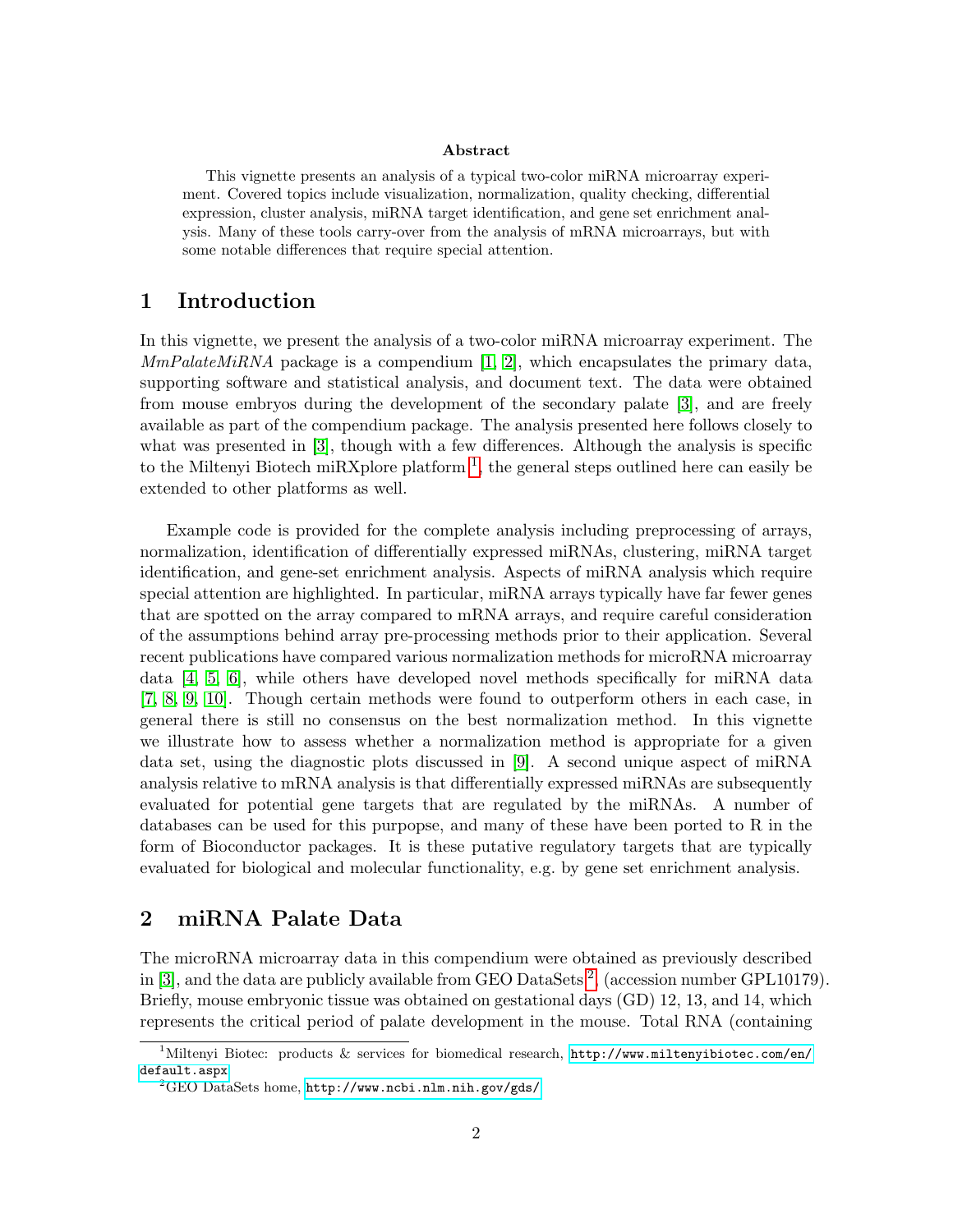#### Abstract

This vignette presents an analysis of a typical two-color miRNA microarray experiment. Covered topics include visualization, normalization, quality checking, differential expression, cluster analysis, miRNA target identification, and gene set enrichment analysis. Many of these tools carry-over from the analysis of mRNA microarrays, but with some notable differences that require special attention.

### <span id="page-1-0"></span>1 Introduction

In this vignette, we present the analysis of a two-color miRNA microarray experiment. The  $MmPalateMiRNA$  package is a compendium [\[1,](#page-28-1) [2\]](#page-28-2), which encapsulates the primary data, supporting software and statistical analysis, and document text. The data were obtained from mouse embryos during the development of the secondary palate [\[3\]](#page-28-3), and are freely available as part of the compendium package. The analysis presented here follows closely to what was presented in [\[3\]](#page-28-3), though with a few differences. Although the analysis is specific to the Miltenyi Biotech miRXplore platform  $<sup>1</sup>$  $<sup>1</sup>$  $<sup>1</sup>$ , the general steps outlined here can easily be</sup> extended to other platforms as well.

Example code is provided for the complete analysis including preprocessing of arrays, normalization, identification of differentially expressed miRNAs, clustering, miRNA target identification, and gene-set enrichment analysis. Aspects of miRNA analysis which require special attention are highlighted. In particular, miRNA arrays typically have far fewer genes that are spotted on the array compared to mRNA arrays, and require careful consideration of the assumptions behind array pre-processing methods prior to their application. Several recent publications have compared various normalization methods for microRNA microarray data [\[4,](#page-28-4) [5,](#page-28-5) [6\]](#page-28-6), while others have developed novel methods specifically for miRNA data [\[7,](#page-28-7) [8,](#page-28-8) [9,](#page-29-0) [10\]](#page-29-1). Though certain methods were found to outperform others in each case, in general there is still no consensus on the best normalization method. In this vignette we illustrate how to assess whether a normalization method is appropriate for a given data set, using the diagnostic plots discussed in [\[9\]](#page-29-0). A second unique aspect of miRNA analysis relative to mRNA analysis is that differentially expressed miRNAs are subsequently evaluated for potential gene targets that are regulated by the miRNAs. A number of databases can be used for this purpopse, and many of these have been ported to R in the form of Bioconductor packages. It is these putative regulatory targets that are typically evaluated for biological and molecular functionality, e.g. by gene set enrichment analysis.

### <span id="page-1-1"></span>2 miRNA Palate Data

The microRNA microarray data in this compendium were obtained as previously described in [\[3\]](#page-28-3), and the data are publicly available from GEO DataSets<sup>[2](#page-1-3)</sup>, (accession number GPL10179). Briefly, mouse embryonic tissue was obtained on gestational days (GD) 12, 13, and 14, which represents the critical period of palate development in the mouse. Total RNA (containing

<span id="page-1-2"></span><sup>&</sup>lt;sup>1</sup>Miltenyi Biotec: products & services for biomedical research, [http://www.miltenyibiotec.com/en/](http://www.miltenyibiotec.com/en/default.aspx) [default.aspx](http://www.miltenyibiotec.com/en/default.aspx)

<span id="page-1-3"></span><sup>2</sup>GEO DataSets home, <http://www.ncbi.nlm.nih.gov/gds/>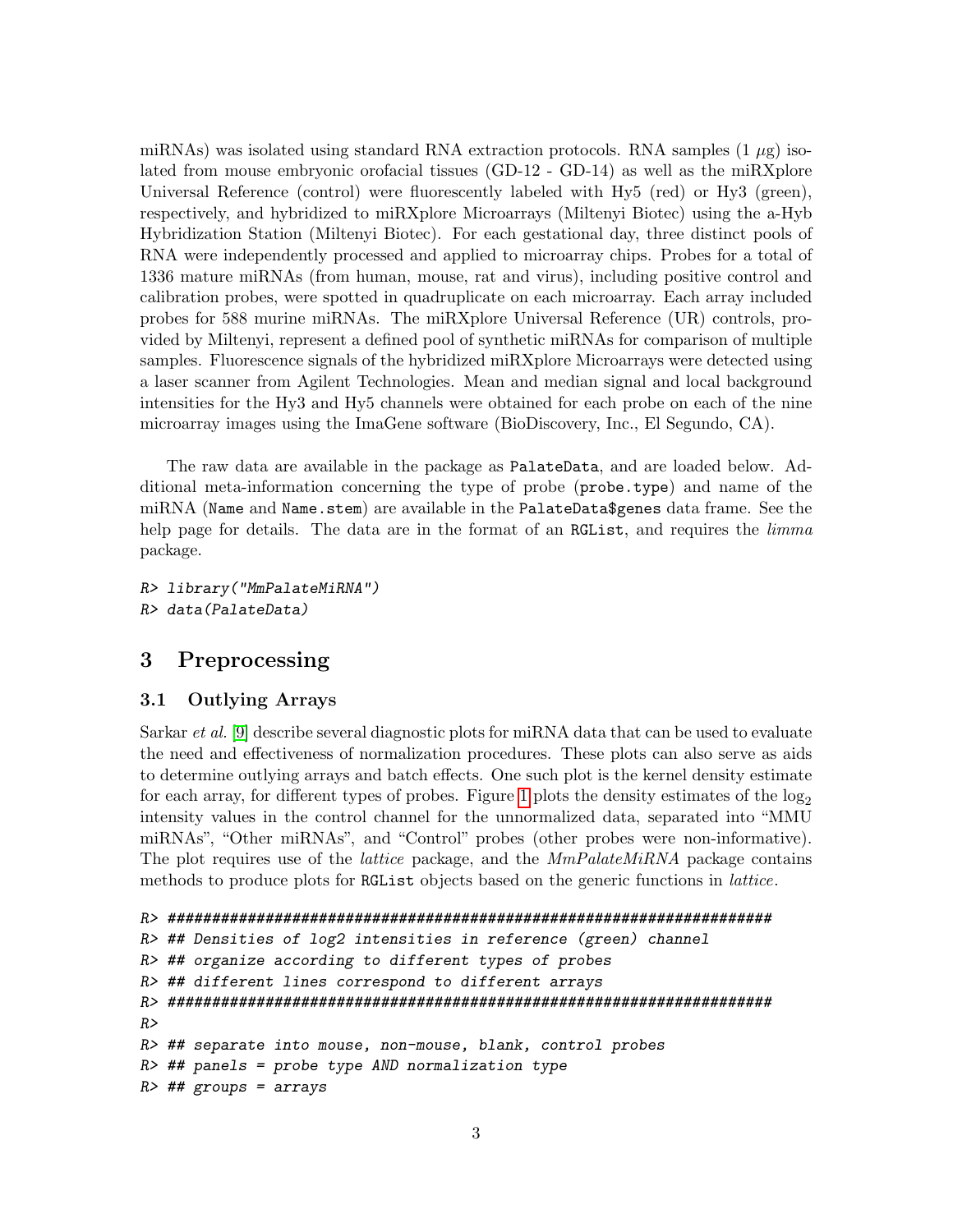miRNAs) was isolated using standard RNA extraction protocols. RNA samples  $(1 \mu g)$  isolated from mouse embryonic orofacial tissues (GD-12 - GD-14) as well as the miRXplore Universal Reference (control) were fluorescently labeled with Hy5 (red) or Hy3 (green), respectively, and hybridized to miRXplore Microarrays (Miltenyi Biotec) using the a-Hyb Hybridization Station (Miltenyi Biotec). For each gestational day, three distinct pools of RNA were independently processed and applied to microarray chips. Probes for a total of 1336 mature miRNAs (from human, mouse, rat and virus), including positive control and calibration probes, were spotted in quadruplicate on each microarray. Each array included probes for 588 murine miRNAs. The miRXplore Universal Reference (UR) controls, provided by Miltenyi, represent a defined pool of synthetic miRNAs for comparison of multiple samples. Fluorescence signals of the hybridized miRXplore Microarrays were detected using a laser scanner from Agilent Technologies. Mean and median signal and local background intensities for the Hy3 and Hy5 channels were obtained for each probe on each of the nine microarray images using the ImaGene software (BioDiscovery, Inc., El Segundo, CA).

The raw data are available in the package as PalateData, and are loaded below. Additional meta-information concerning the type of probe (probe.type) and name of the miRNA (Name and Name.stem) are available in the PalateData\$genes data frame. See the help page for details. The data are in the format of an RGList, and requires the *limma* package.

```
R> library("MmPalateMiRNA")
R> data(PalateData)
```
# <span id="page-2-0"></span>3 Preprocessing

### <span id="page-2-1"></span>3.1 Outlying Arrays

Sarkar *et al.* [\[9\]](#page-29-0) describe several diagnostic plots for miRNA data that can be used to evaluate the need and effectiveness of normalization procedures. These plots can also serve as aids to determine outlying arrays and batch effects. One such plot is the kernel density estimate for each array, for different types of probes. Figure [1](#page-4-0) plots the density estimates of the  $log_2$ intensity values in the control channel for the unnormalized data, separated into "MMU miRNAs", "Other miRNAs", and "Control" probes (other probes were non-informative). The plot requires use of the *lattice* package, and the *MmPalateMiRNA* package contains methods to produce plots for RGList objects based on the generic functions in lattice.

```
R> ####################################################################
R> ## Densities of log2 intensities in reference (green) channel
R> ## organize according to different types of probes
R> ## different lines correspond to different arrays
R> ####################################################################
R>R> ## separate into mouse, non-mouse, blank, control probes
R # # parallel = probe Lyp AND normalization typeR # ## groups = arrays
```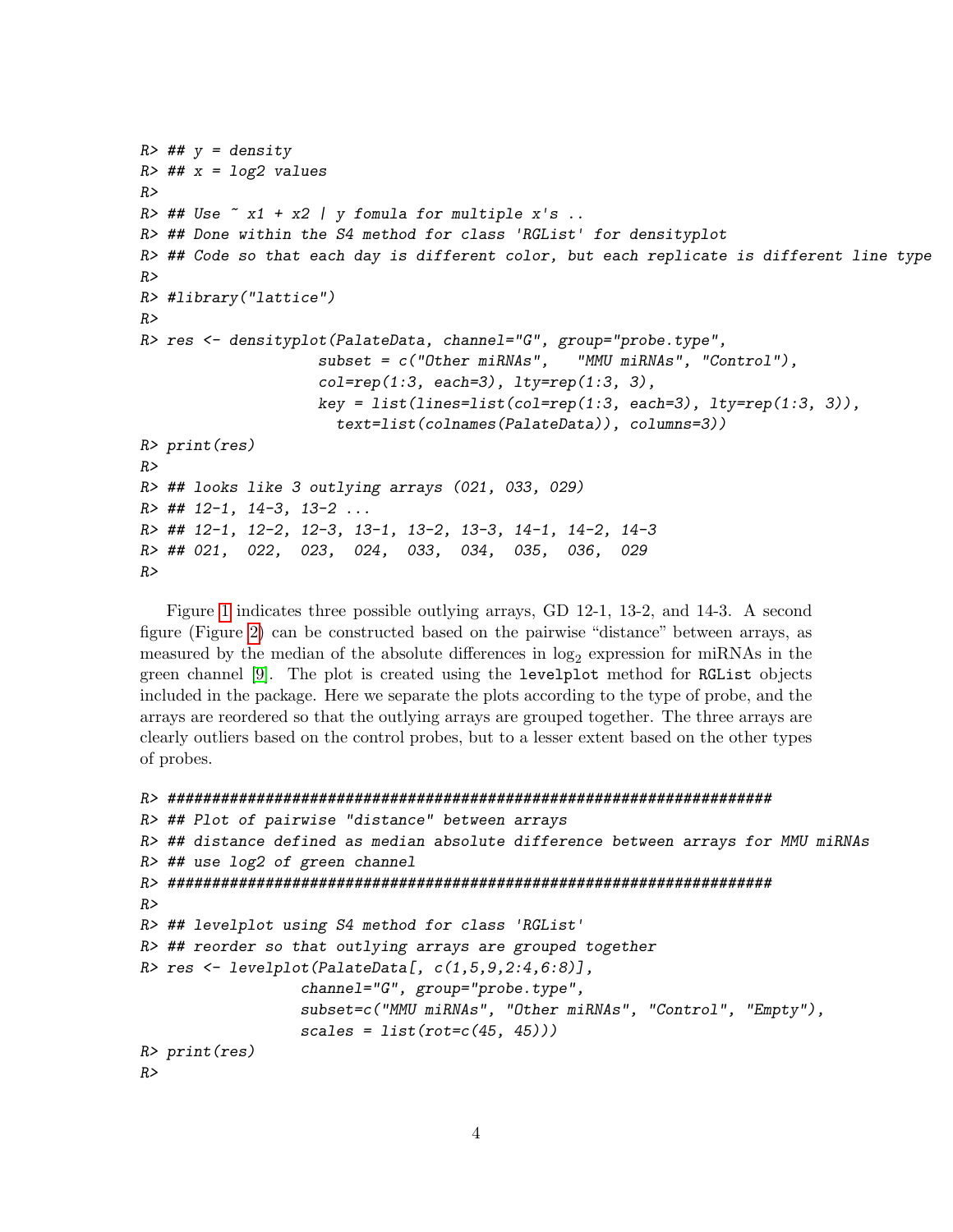```
R \neq # y = density
R \neq H# x = log2 values
R>R> ## Use \tilde{a} x1 + x2 | y fomula for multiple x's ..
R> ## Done within the S4 method for class 'RGList' for densityplot
R> ## Code so that each day is different color, but each replicate is different line type
RR> #library("lattice")
RR> res <- densityplot(PalateData, channel="G", group="probe.type",
                    subset = c("Other miRNAs", "MMU miRNAs", "Control"),
                    col=rep(1:3, each=3), 1ty=rep(1:3, 3),key = list(lines=list(co1=rep(1:3, each=3), Ity=rep(1:3, 3)),text=list(colnames(PalateData)), columns=3))
R> print(res)
R>R> ## looks like 3 outlying arrays (021, 033, 029)
R > ## 12-1, 14-3, 13-2...R> ## 12-1, 12-2, 12-3, 13-1, 13-2, 13-3, 14-1, 14-2, 14-3
R> ## 021, 022, 023, 024, 033, 034, 035, 036, 029
R
```
Figure [1](#page-4-0) indicates three possible outlying arrays, GD 12-1, 13-2, and 14-3. A second figure (Figure [2\)](#page-5-0) can be constructed based on the pairwise "distance" between arrays, as measured by the median of the absolute differences in  $log_2$  expression for miRNAs in the green channel [\[9\]](#page-29-0). The plot is created using the levelplot method for RGList objects included in the package. Here we separate the plots according to the type of probe, and the arrays are reordered so that the outlying arrays are grouped together. The three arrays are clearly outliers based on the control probes, but to a lesser extent based on the other types of probes.

```
R> ####################################################################
R> ## Plot of pairwise "distance" between arrays
R> ## distance defined as median absolute difference between arrays for MMU miRNAs
R> ## use log2 of green channel
R> ####################################################################
R>
R> ## levelplot using S4 method for class 'RGList'
R> ## reorder so that outlying arrays are grouped together
R> res \leftarrow levelplot(PalateData[, c(1,5,9,2:4,6:8)],
                  channel="G", group="probe.type",
                  subset=c("MMU miRNAs", "Other miRNAs", "Control", "Empty"),
                  scales = list(rot=c(45, 45)))R> print(res)
R
```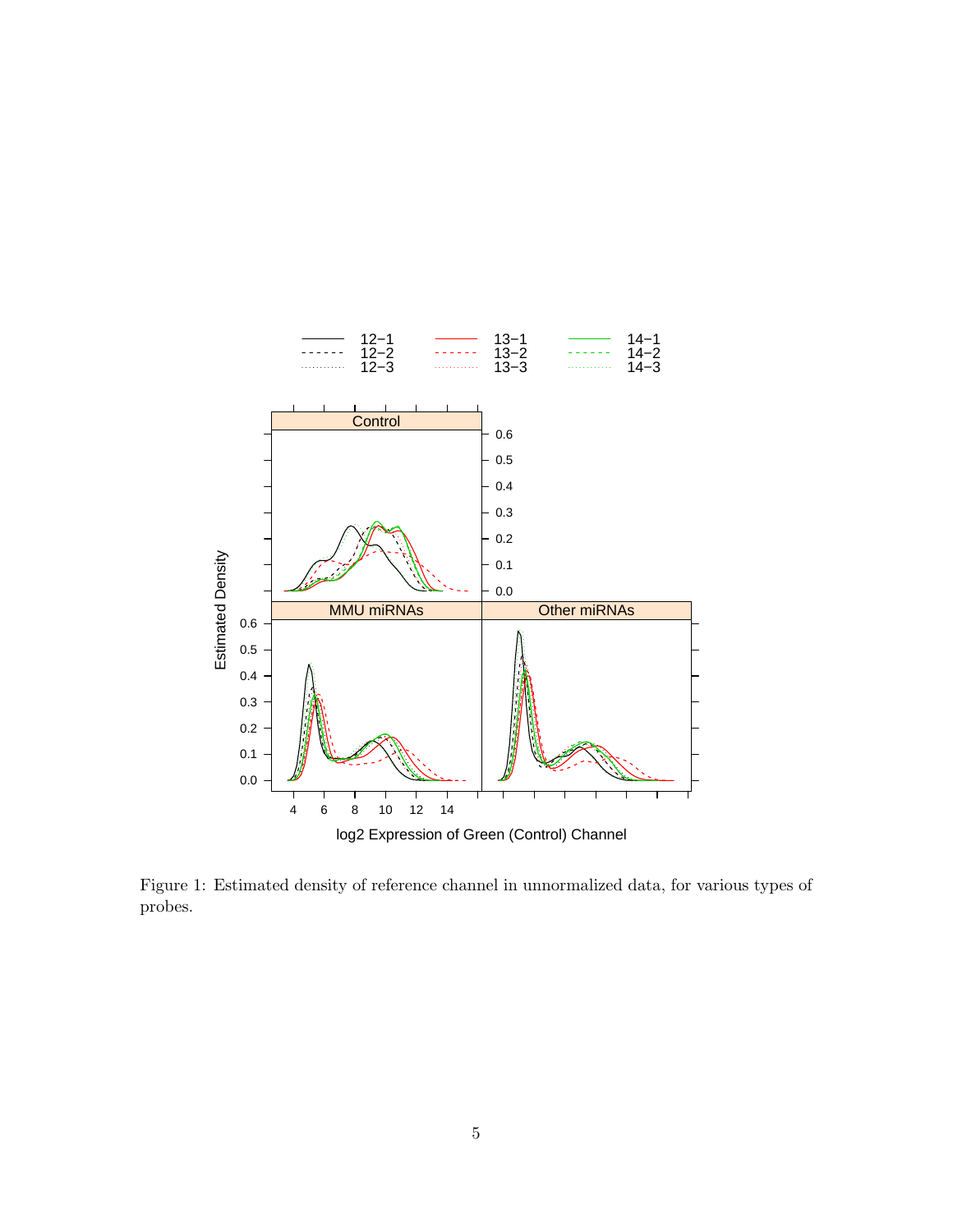

<span id="page-4-0"></span>Figure 1: Estimated density of reference channel in unnormalized data, for various types of probes.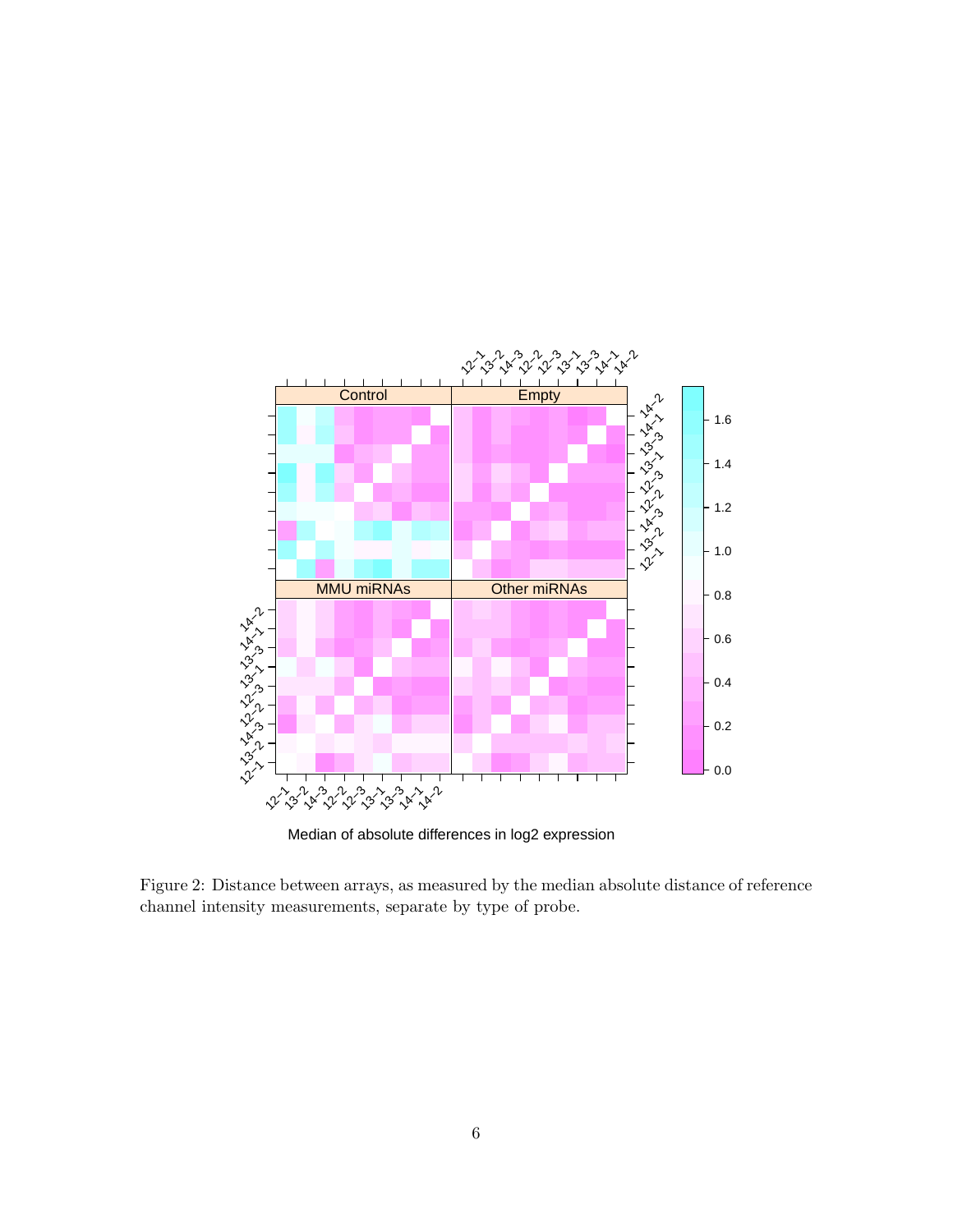

Median of absolute differences in log2 expression

<span id="page-5-0"></span>Figure 2: Distance between arrays, as measured by the median absolute distance of reference channel intensity measurements, separate by type of probe.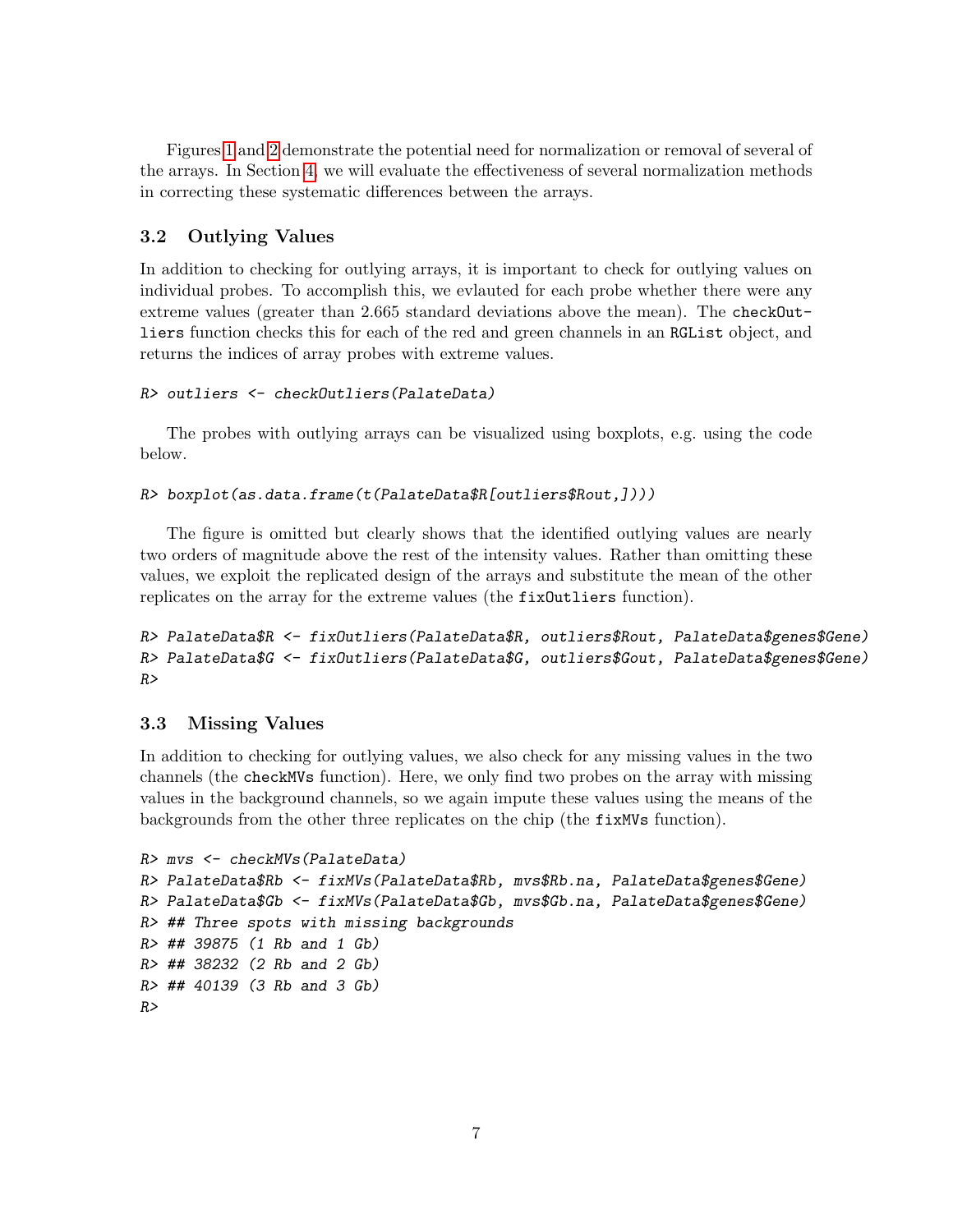Figures [1](#page-4-0) and [2](#page-5-0) demonstrate the potential need for normalization or removal of several of the arrays. In Section [4,](#page-7-1) we will evaluate the effectiveness of several normalization methods in correcting these systematic differences between the arrays.

### <span id="page-6-0"></span>3.2 Outlying Values

In addition to checking for outlying arrays, it is important to check for outlying values on individual probes. To accomplish this, we evlauted for each probe whether there were any extreme values (greater than 2.665 standard deviations above the mean). The checkOutliers function checks this for each of the red and green channels in an RGList object, and returns the indices of array probes with extreme values.

```
R> outliers <- checkOutliers(PalateData)
```
The probes with outlying arrays can be visualized using boxplots, e.g. using the code below.

```
R> boxplot(as.data.frame(t(PalateData$R[outliers$Rout,])))
```
The figure is omitted but clearly shows that the identified outlying values are nearly two orders of magnitude above the rest of the intensity values. Rather than omitting these values, we exploit the replicated design of the arrays and substitute the mean of the other replicates on the array for the extreme values (the fixOutliers function).

R> PalateData\$R <- fixOutliers(PalateData\$R, outliers\$Rout, PalateData\$genes\$Gene) R> PalateData\$G <- fixOutliers(PalateData\$G, outliers\$Gout, PalateData\$genes\$Gene)  $R>$ 

### <span id="page-6-1"></span>3.3 Missing Values

In addition to checking for outlying values, we also check for any missing values in the two channels (the checkMVs function). Here, we only find two probes on the array with missing values in the background channels, so we again impute these values using the means of the backgrounds from the other three replicates on the chip (the fixMVs function).

```
R> mvs <- checkMVs(PalateData)
R> PalateData$Rb <- fixMVs(PalateData$Rb, mvs$Rb.na, PalateData$genes$Gene)
R> PalateData$Gb <- fixMVs(PalateData$Gb, mvs$Gb.na, PalateData$genes$Gene)
R> ## Three spots with missing backgrounds
R> ## 39875 (1 Rb and 1 Gb)
R> ## 38232 (2 Rb and 2 Gb)
R> ## 40139 (3 Rb and 3 Gb)
R
```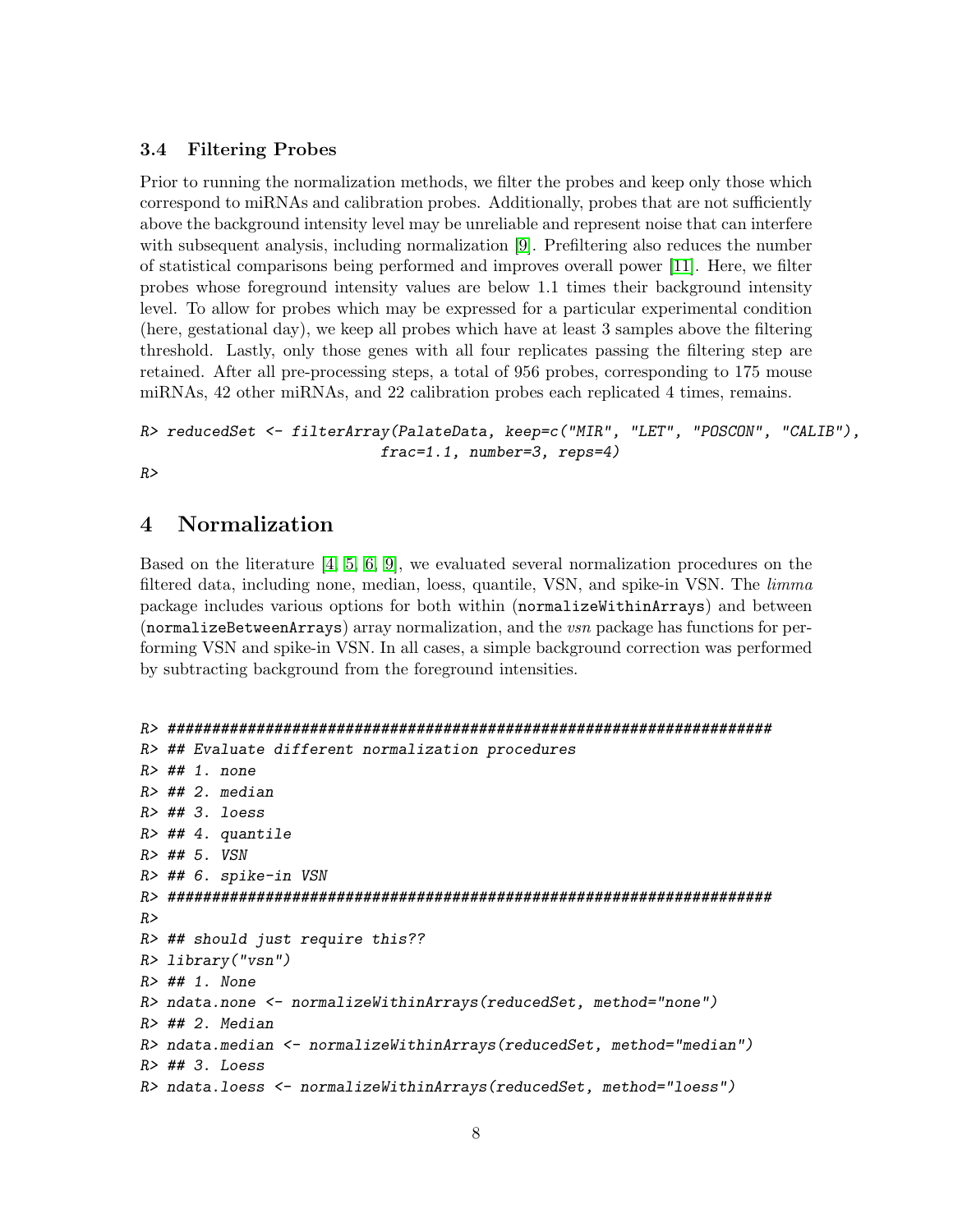#### <span id="page-7-0"></span>3.4 Filtering Probes

Prior to running the normalization methods, we filter the probes and keep only those which correspond to miRNAs and calibration probes. Additionally, probes that are not sufficiently above the background intensity level may be unreliable and represent noise that can interfere with subsequent analysis, including normalization [\[9\]](#page-29-0). Prefiltering also reduces the number of statistical comparisons being performed and improves overall power [\[11\]](#page-29-2). Here, we filter probes whose foreground intensity values are below 1.1 times their background intensity level. To allow for probes which may be expressed for a particular experimental condition (here, gestational day), we keep all probes which have at least 3 samples above the filtering threshold. Lastly, only those genes with all four replicates passing the filtering step are retained. After all pre-processing steps, a total of 956 probes, corresponding to 175 mouse miRNAs, 42 other miRNAs, and 22 calibration probes each replicated 4 times, remains.

```
R> reducedSet <- filterArray(PalateData, keep=c("MIR", "LET", "POSCON", "CALIB"),
                           frac=1.1, number=3, reps=4)
```
 $R>$ 

### <span id="page-7-1"></span>4 Normalization

Based on the literature [\[4,](#page-28-4) [5,](#page-28-5) [6,](#page-28-6) [9\]](#page-29-0), we evaluated several normalization procedures on the filtered data, including none, median, loess, quantile, VSN, and spike-in VSN. The *limma* package includes various options for both within (normalizeWithinArrays) and between (normalizeBetweenArrays) array normalization, and the vsn package has functions for performing VSN and spike-in VSN. In all cases, a simple background correction was performed by subtracting background from the foreground intensities.

```
R> ####################################################################
R> ## Evaluate different normalization procedures
R> ## 1. none
R> ## 2. median
R> ## 3. loess
R> ## 4. quantile
R> ## 5. VSN
R> ## 6. spike-in VSN
R> ####################################################################
R>
R> ## should just require this??
R> library("vsn")
R> ## 1. None
R> ndata.none <- normalizeWithinArrays(reducedSet, method="none")
R> ## 2. Median
R> ndata.median <- normalizeWithinArrays(reducedSet, method="median")
R> ## 3. Loess
R> ndata.loess <- normalizeWithinArrays(reducedSet, method="loess")
```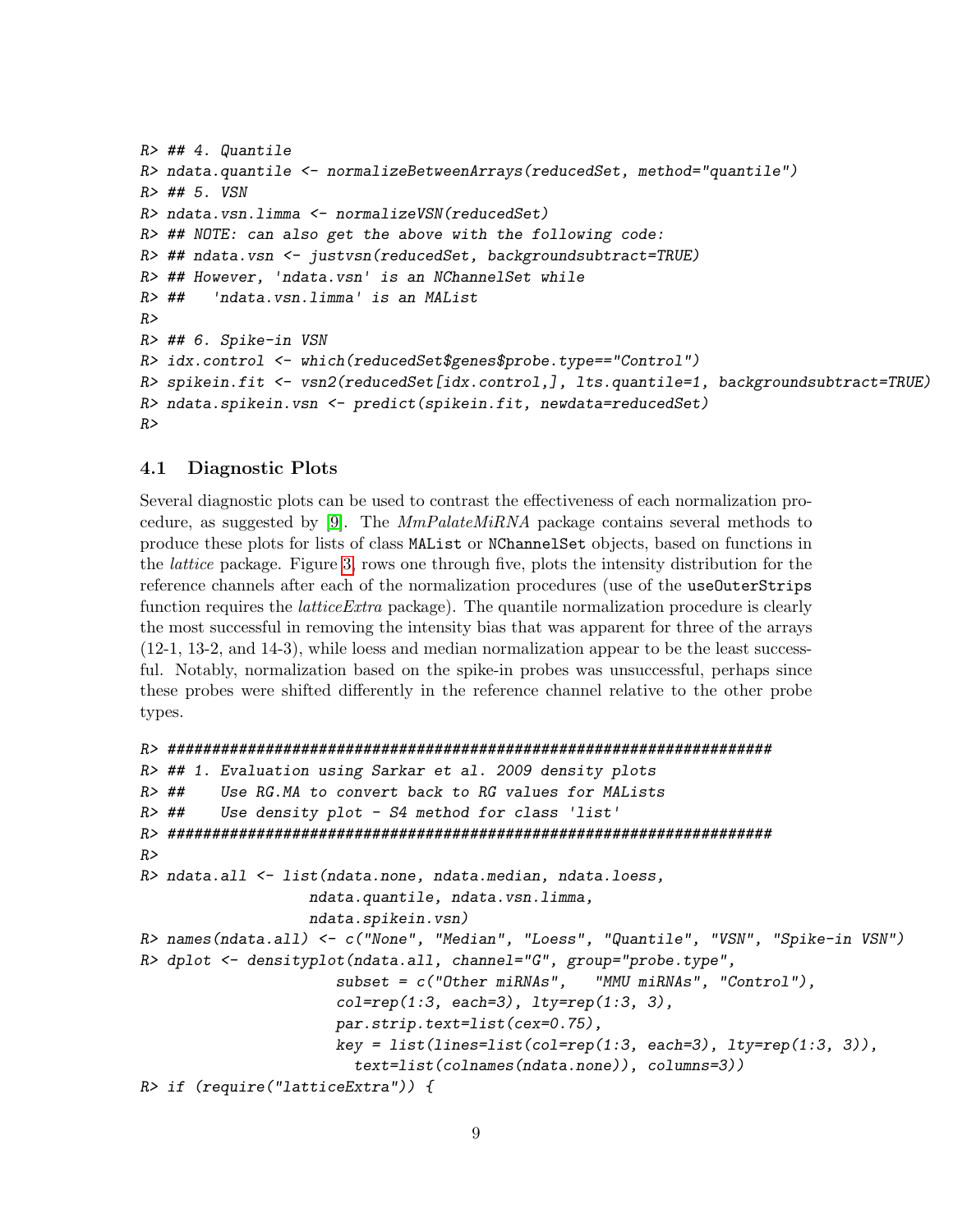```
R> ## 4. Quantile
R> ndata.quantile <- normalizeBetweenArrays(reducedSet, method="quantile")
R> ## 5. VSN
R> ndata.vsn.limma <- normalizeVSN(reducedSet)
R> ## NOTE: can also get the above with the following code:
R> ## ndata.vsn <- justvsn(reducedSet, backgroundsubtract=TRUE)
R> ## However, 'ndata.vsn' is an NChannelSet while
R> ## 'ndata.vsn.limma' is an MAList
R>R> ## 6. Spike-in VSN
R> idx.control <- which(reducedSet$genes$probe.type=="Control")
R> spikein.fit <- vsn2(reducedSet[idx.control,], lts.quantile=1, backgroundsubtract=TRUE)
R> ndata.spikein.vsn <- predict(spikein.fit, newdata=reducedSet)
R>
```
#### <span id="page-8-0"></span>4.1 Diagnostic Plots

Several diagnostic plots can be used to contrast the effectiveness of each normalization pro-cedure, as suggested by [\[9\]](#page-29-0). The  $MmPalateMiRNA$  package contains several methods to produce these plots for lists of class MAList or NChannelSet objects, based on functions in the lattice package. Figure [3,](#page-9-0) rows one through five, plots the intensity distribution for the reference channels after each of the normalization procedures (use of the useOuterStrips function requires the *latticeExtra* package). The quantile normalization procedure is clearly the most successful in removing the intensity bias that was apparent for three of the arrays (12-1, 13-2, and 14-3), while loess and median normalization appear to be the least successful. Notably, normalization based on the spike-in probes was unsuccessful, perhaps since these probes were shifted differently in the reference channel relative to the other probe types.

```
R> ####################################################################
R> ## 1. Evaluation using Sarkar et al. 2009 density plots
R> ## Use RG.MA to convert back to RG values for MALists
R> ## Use density plot - S4 method for class 'list'
R> ####################################################################
R>R> ndata.all <- list(ndata.none, ndata.median, ndata.loess,
                   ndata.quantile, ndata.vsn.limma,
                   ndata.spikein.vsn)
R> names(ndata.all) <- c("None", "Median", "Loess", "Quantile", "VSN", "Spike-in VSN")
R> dplot <- densityplot(ndata.all, channel="G", group="probe.type",
                      subset = c("Other miRNAs", "MMU miRNAs", "Control"),
                      col=rep(1:3, each=3), 1ty=rep(1:3, 3),par.strip.text=list(cex=0.75),
                      key = list(lines=list(co1=rep(1:3, each=3), Ity=rep(1:3, 3)),text=list(colnames(ndata.none)), columns=3))
R> if (require("latticeExtra")) {
```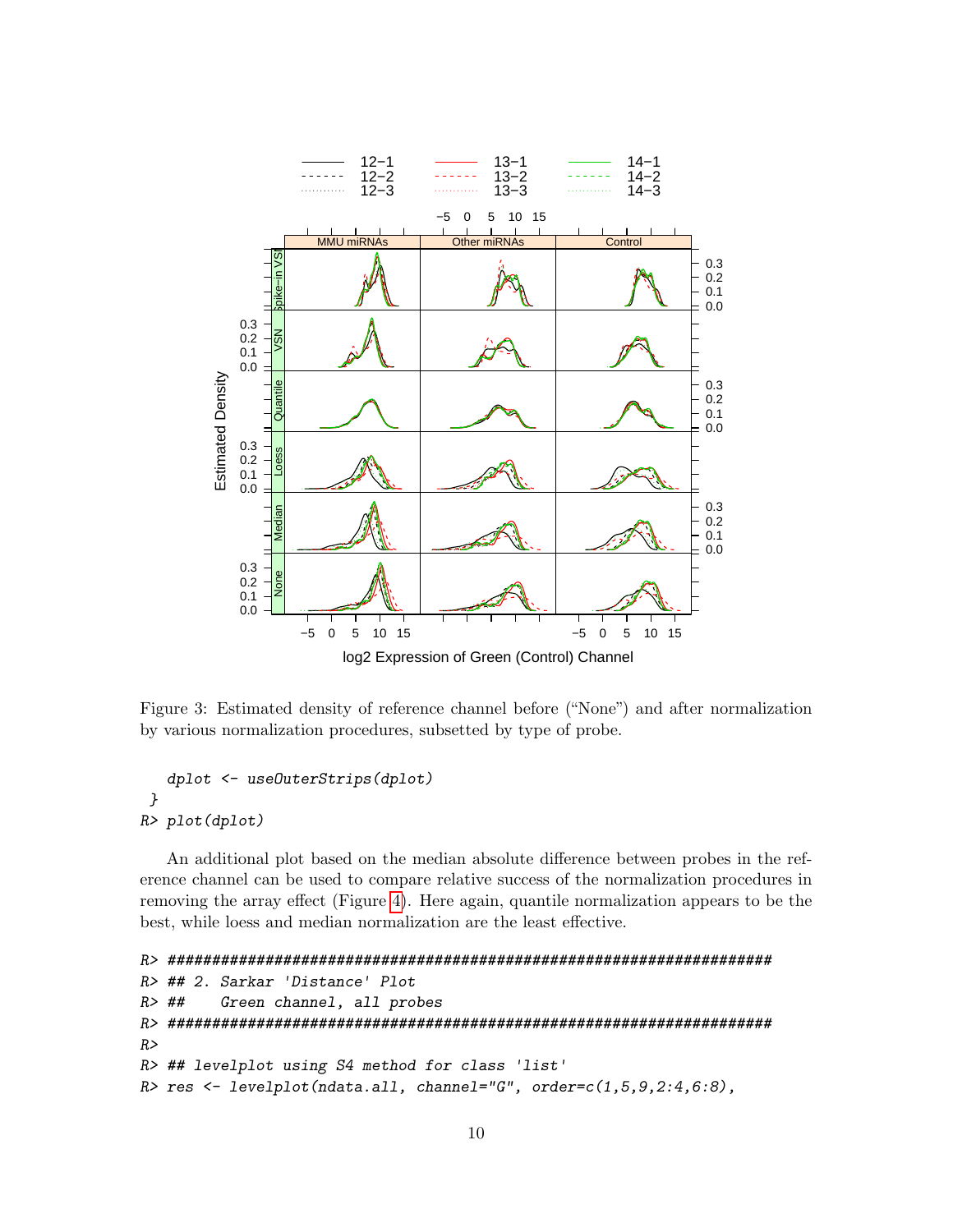

<span id="page-9-0"></span>Figure 3: Estimated density of reference channel before ("None") and after normalization by various normalization procedures, subsetted by type of probe.

```
dplot <- useOuterStrips(dplot)
}
R> plot(dplot)
```
An additional plot based on the median absolute difference between probes in the reference channel can be used to compare relative success of the normalization procedures in removing the array effect (Figure [4\)](#page-10-0). Here again, quantile normalization appears to be the best, while loess and median normalization are the least effective.

```
R> ####################################################################
R> ## 2. Sarkar 'Distance' Plot
R> ## Green channel, all probes
R> ####################################################################
R>R> ## levelplot using S4 method for class 'list'
R> res <- levelplot(ndata.all, channel="G", order=c(1,5,9,2:4,6:8),
```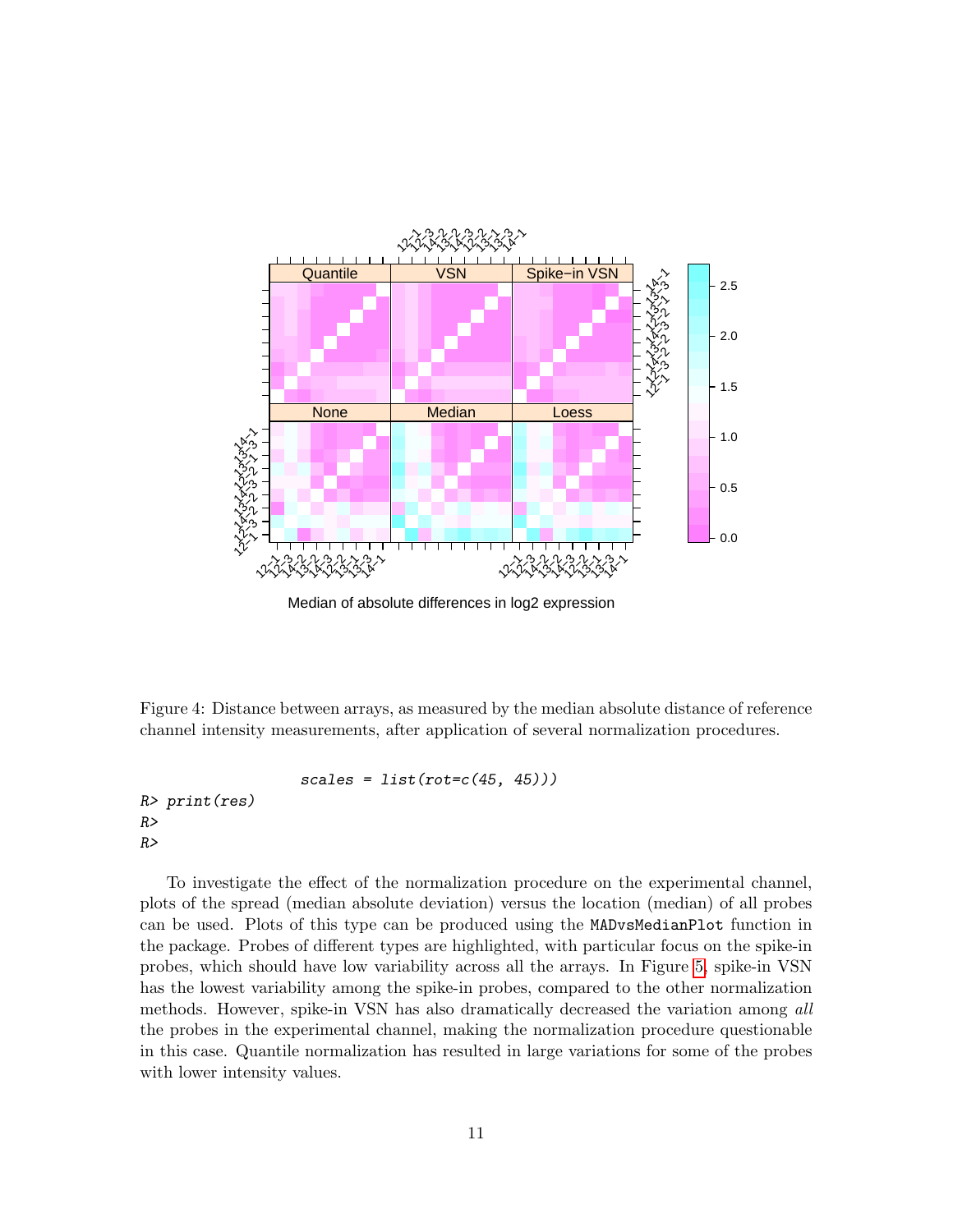

Median of absolute differences in log2 expression

<span id="page-10-0"></span>Figure 4: Distance between arrays, as measured by the median absolute distance of reference channel intensity measurements, after application of several normalization procedures.

```
scales = list(rot = c(45, 45)))
```
R> print(res) R>  $R>$ 

To investigate the effect of the normalization procedure on the experimental channel, plots of the spread (median absolute deviation) versus the location (median) of all probes can be used. Plots of this type can be produced using the MADvsMedianPlot function in the package. Probes of different types are highlighted, with particular focus on the spike-in probes, which should have low variability across all the arrays. In Figure [5,](#page-12-0) spike-in VSN has the lowest variability among the spike-in probes, compared to the other normalization methods. However, spike-in VSN has also dramatically decreased the variation among all the probes in the experimental channel, making the normalization procedure questionable in this case. Quantile normalization has resulted in large variations for some of the probes with lower intensity values.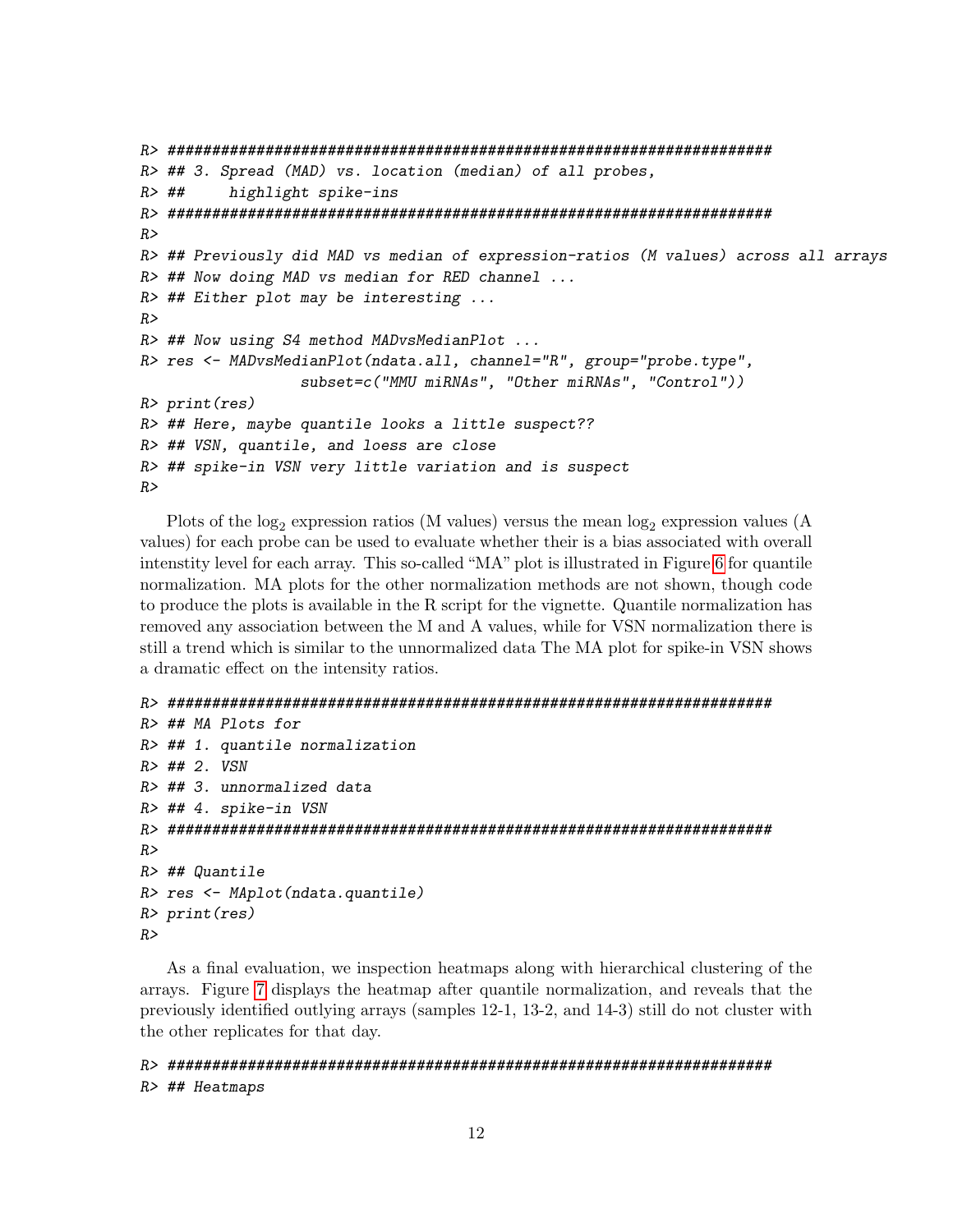```
R> ####################################################################
R> ## 3. Spread (MAD) vs. location (median) of all probes,
R> ## highlight spike-ins
R> ####################################################################
R>R> ## Previously did MAD vs median of expression-ratios (M values) across all arrays
R> ## Now doing MAD vs median for RED channel ...
R> ## Either plot may be interesting ...
R>R> ## Now using S4 method MADvsMedianPlot ...
R> res <- MADvsMedianPlot(ndata.all, channel="R", group="probe.type",
                  subset=c("MMU miRNAs", "Other miRNAs", "Control"))
R> print(res)
R> ## Here, maybe quantile looks a little suspect??
R> ## VSN, quantile, and loess are close
R> ## spike-in VSN very little variation and is suspect
R>
```
Plots of the  $log_2$  expression ratios (M values) versus the mean  $log_2$  expression values (A values) for each probe can be used to evaluate whether their is a bias associated with overall intenstity level for each array. This so-called "MA" plot is illustrated in Figure [6](#page-13-0) for quantile normalization. MA plots for the other normalization methods are not shown, though code to produce the plots is available in the R script for the vignette. Quantile normalization has removed any association between the M and A values, while for VSN normalization there is still a trend which is similar to the unnormalized data The MA plot for spike-in VSN shows a dramatic effect on the intensity ratios.

```
R> ####################################################################
```

```
R> ## MA Plots for
R> ## 1. quantile normalization
R> ## 2. VSN
R> ## 3. unnormalized data
R> ## 4. spike-in VSN
R> ####################################################################
R>R> ## Quantile
R> res <- MAplot(ndata.quantile)
R> print(res)
R>
```
As a final evaluation, we inspection heatmaps along with hierarchical clustering of the arrays. Figure [7](#page-14-0) displays the heatmap after quantile normalization, and reveals that the previously identified outlying arrays (samples 12-1, 13-2, and 14-3) still do not cluster with the other replicates for that day.

#### R> #################################################################### R> ## Heatmaps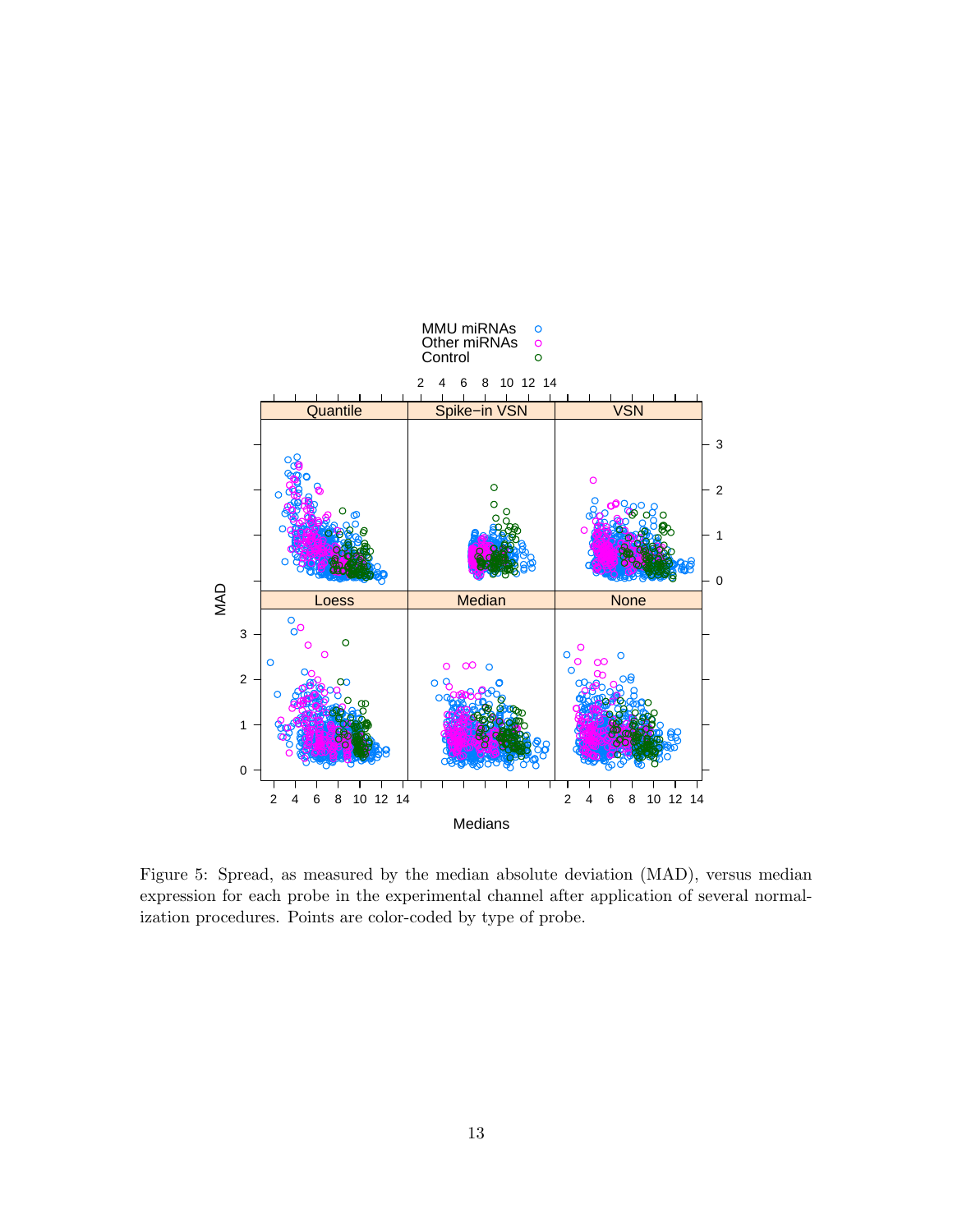

<span id="page-12-0"></span>Figure 5: Spread, as measured by the median absolute deviation (MAD), versus median expression for each probe in the experimental channel after application of several normalization procedures. Points are color-coded by type of probe.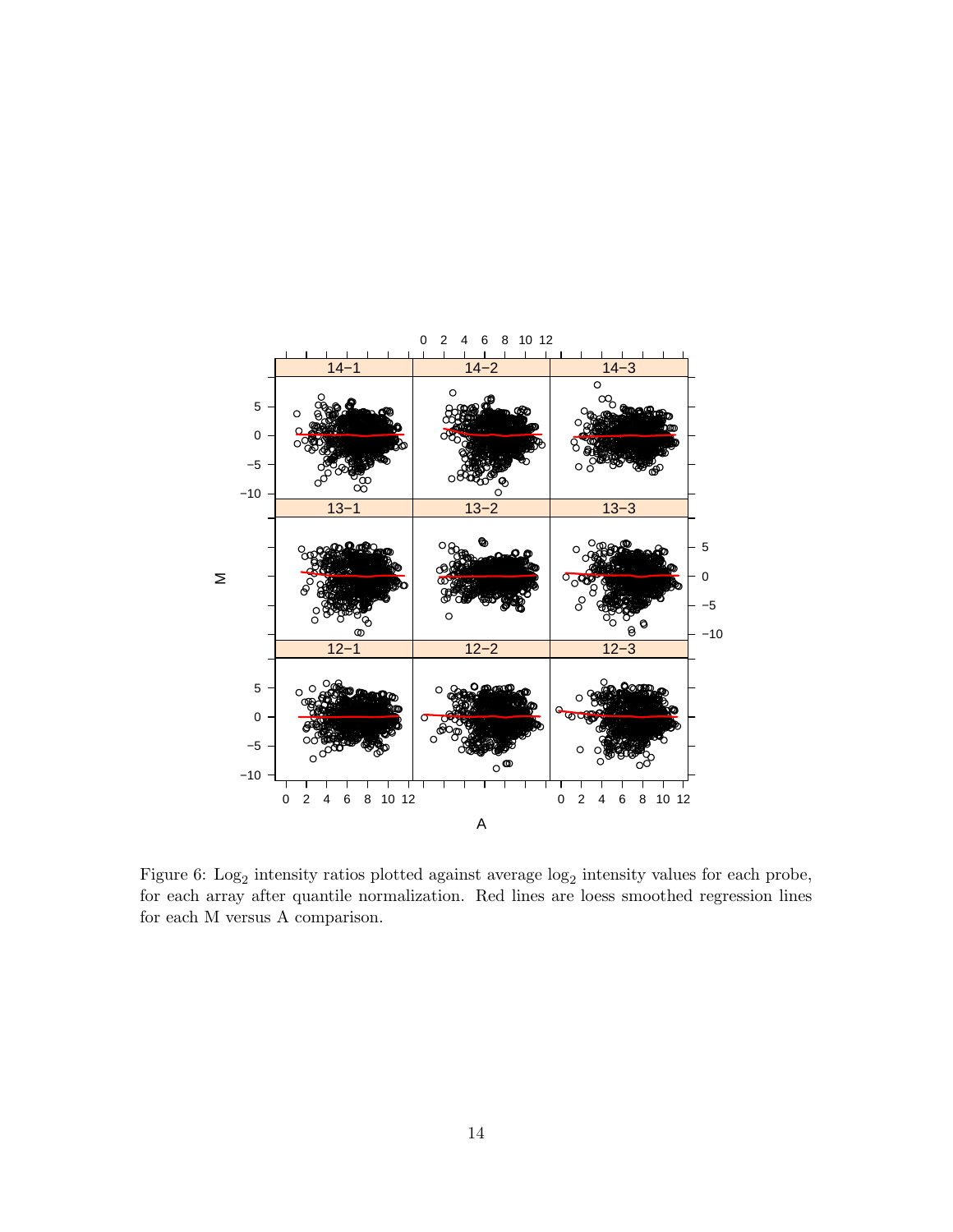

<span id="page-13-0"></span>Figure 6:  $\text{Log}_2$  intensity ratios plotted against average  $\log_2$  intensity values for each probe, for each array after quantile normalization. Red lines are loess smoothed regression lines for each M versus A comparison.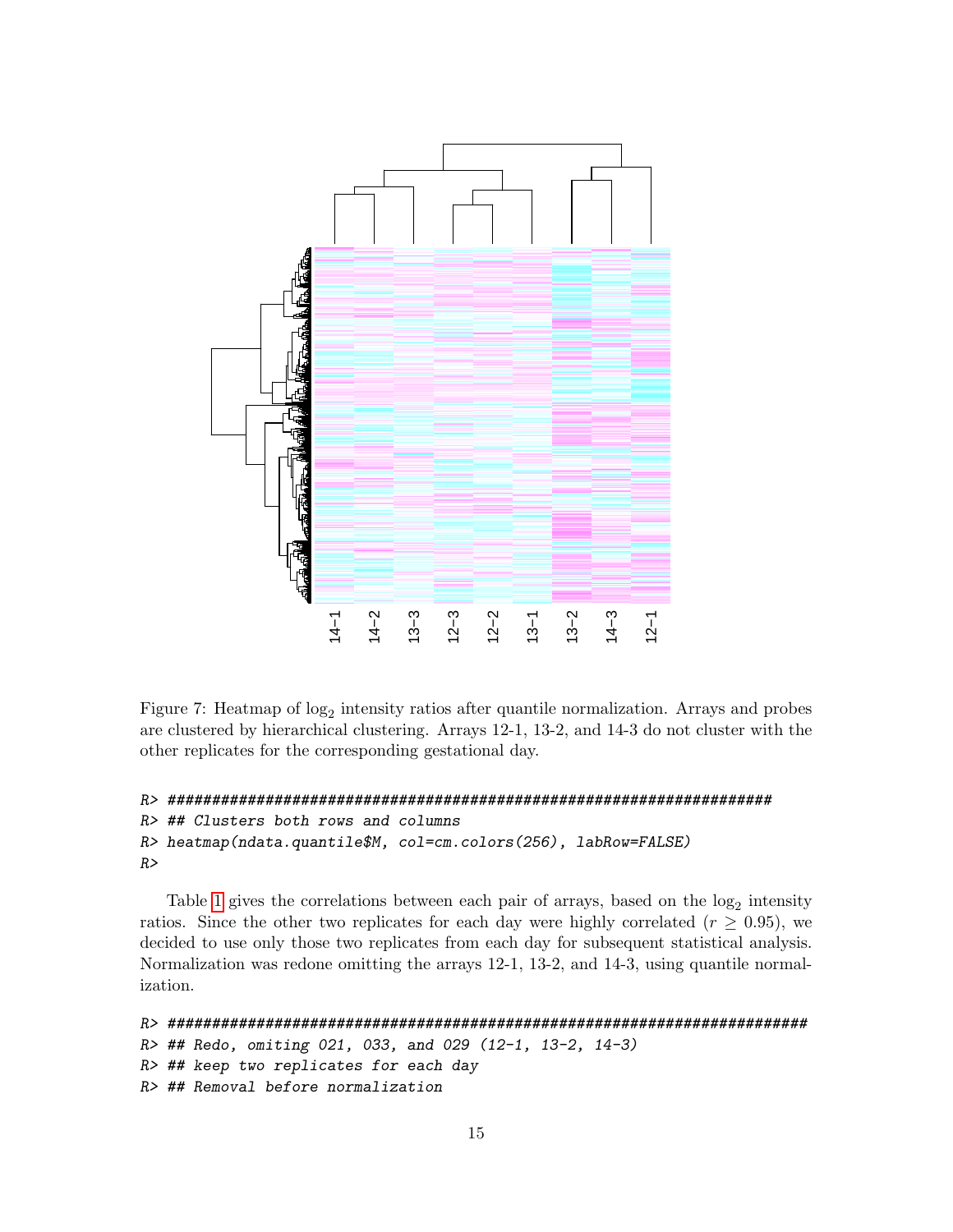

<span id="page-14-0"></span>Figure 7: Heatmap of  $log_2$  intensity ratios after quantile normalization. Arrays and probes are clustered by hierarchical clustering. Arrays 12-1, 13-2, and 14-3 do not cluster with the other replicates for the corresponding gestational day.

```
R> ####################################################################
R> ## Clusters both rows and columns
R> heatmap(ndata.quantile$M, col=cm.colors(256), labRow=FALSE)
R>
```
Table [1](#page-15-2) gives the correlations between each pair of arrays, based on the  $log_2$  intensity ratios. Since the other two replicates for each day were highly correlated ( $r \geq 0.95$ ), we decided to use only those two replicates from each day for subsequent statistical analysis. Normalization was redone omitting the arrays 12-1, 13-2, and 14-3, using quantile normalization.

```
R> ########################################################################
R> ## Redo, omiting 021, 033, and 029 (12-1, 13-2, 14-3)
R> ## keep two replicates for each day
R> ## Removal before normalization
```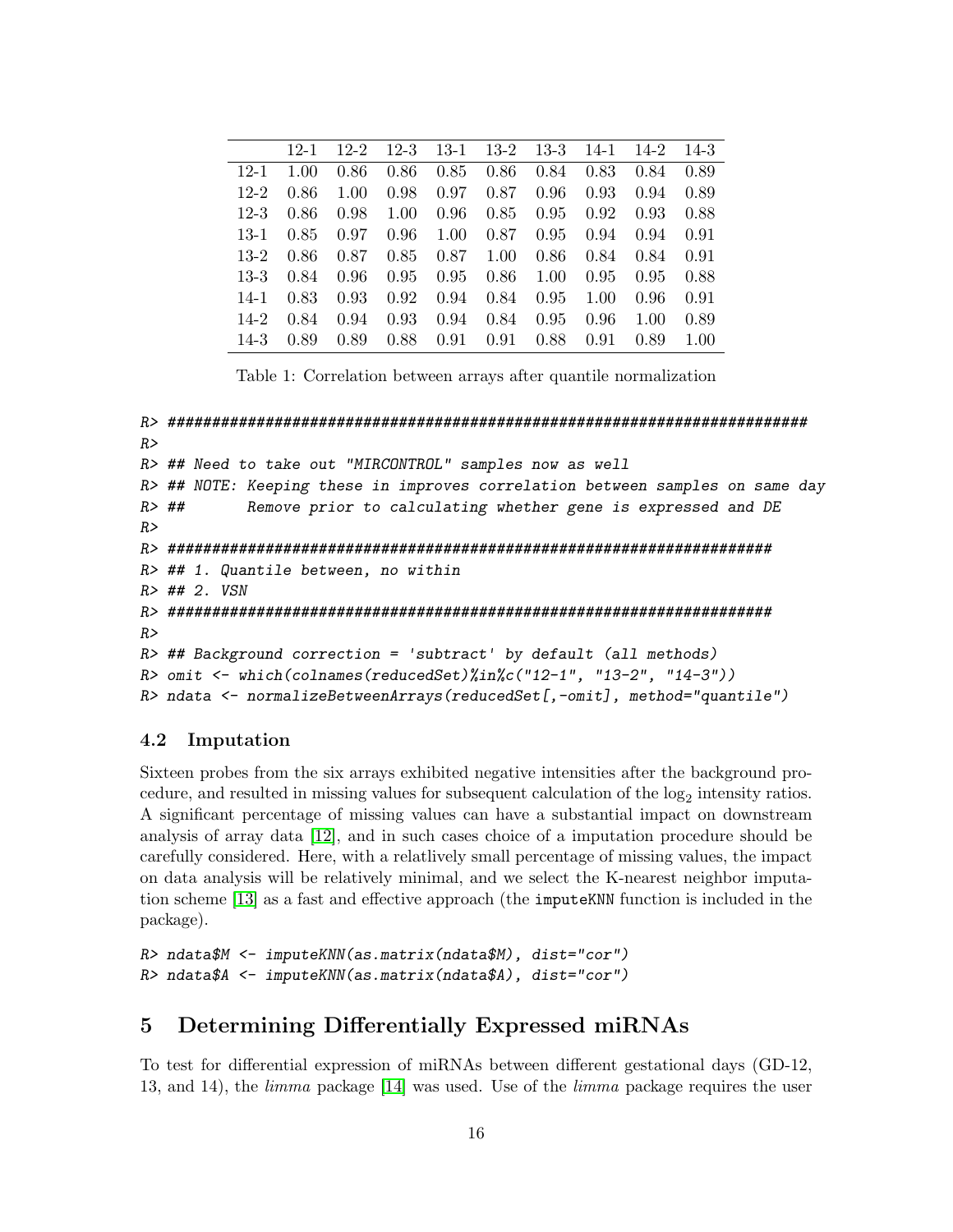|          | $12 - 1$ | $12 - 2$ | $12 - 3$ |      | 13-1 13-2 13-3 |      | 14-1 | $14-2$ | $14 - 3$ |
|----------|----------|----------|----------|------|----------------|------|------|--------|----------|
| $12-1$   | 1.00     | 0.86     | 0.86     | 0.85 | 0.86           | 0.84 | 0.83 | 0.84   | 0.89     |
| $12-2$   | 0.86     | 1.00     | 0.98     | 0.97 | 0.87           | 0.96 | 0.93 | 0.94   | 0.89     |
| $12 - 3$ | 0.86     | 0.98     | 1.00     | 0.96 | 0.85           | 0.95 | 0.92 | 0.93   | 0.88     |
| $13-1$   | 0.85     | 0.97     | 0.96     | 1.00 | 0.87           | 0.95 | 0.94 | 0.94   | 0.91     |
| $13-2$   | 0.86     | 0.87     | 0.85     | 0.87 | 1.00           | 0.86 | 0.84 | 0.84   | 0.91     |
| $13-3$   | 0.84     | 0.96     | 0.95     | 0.95 | 0.86           | 1.00 | 0.95 | 0.95   | 0.88     |
| $14-1$   | 0.83     | 0.93     | 0.92     | 0.94 | 0.84           | 0.95 | 1.00 | 0.96   | 0.91     |
| $14-2$   | 0.84     | 0.94     | 0.93     | 0.94 | 0.84           | 0.95 | 0.96 | 1.00   | 0.89     |
| $14 - 3$ | 0.89     | 0.89     | 0.88     | 0.91 | 0.91           | 0.88 | 0.91 | 0.89   | 1.00     |

<span id="page-15-2"></span>Table 1: Correlation between arrays after quantile normalization

```
R> ########################################################################
R>R> ## Need to take out "MIRCONTROL" samples now as well
R> ## NOTE: Keeping these in improves correlation between samples on same day
R> ## Remove prior to calculating whether gene is expressed and DE
RR> ####################################################################
R> ## 1. Quantile between, no within
R> ## 2. VSN
R> ####################################################################
R>R \rightarrow ## Background correction = 'subtract' by default (all methods)
R> omit <- which(colnames(reducedSet)%in%c("12-1", "13-2", "14-3"))
R> ndata <- normalizeBetweenArrays(reducedSet[,-omit], method="quantile")
```
#### <span id="page-15-0"></span>4.2 Imputation

Sixteen probes from the six arrays exhibited negative intensities after the background procedure, and resulted in missing values for subsequent calculation of the  $log_2$  intensity ratios. A significant percentage of missing values can have a substantial impact on downstream analysis of array data [\[12\]](#page-29-3), and in such cases choice of a imputation procedure should be carefully considered. Here, with a relatlively small percentage of missing values, the impact on data analysis will be relatively minimal, and we select the K-nearest neighbor imputation scheme [\[13\]](#page-29-4) as a fast and effective approach (the imputeKNN function is included in the package).

```
R> ndata$M <- imputeKNN(as.matrix(ndata$M), dist="cor")
R> ndata$A <- imputeKNN(as.matrix(ndata$A), dist="cor")
```
# <span id="page-15-1"></span>5 Determining Differentially Expressed miRNAs

To test for differential expression of miRNAs between different gestational days (GD-12, 13, and 14), the limma package [\[14\]](#page-29-5) was used. Use of the limma package requires the user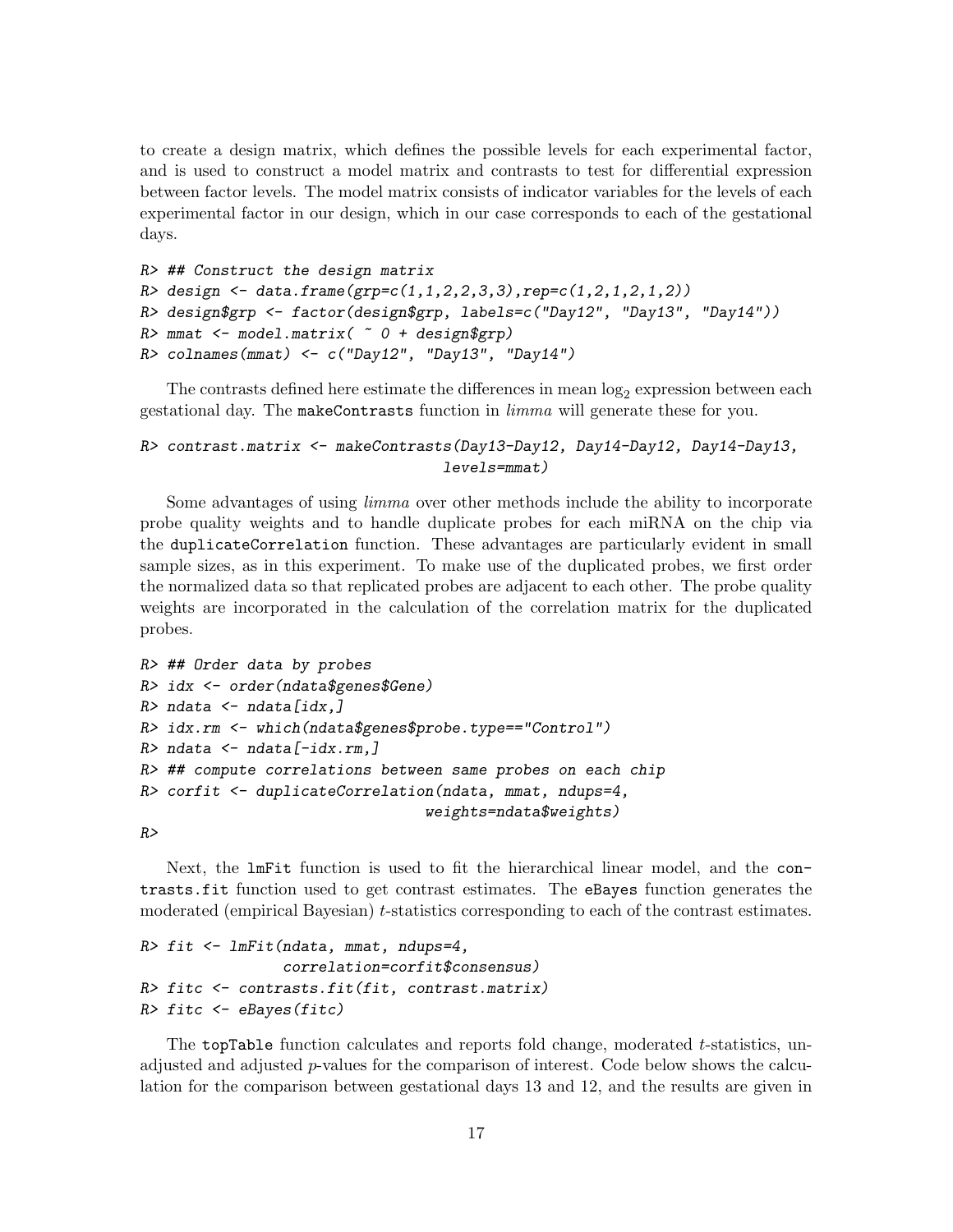to create a design matrix, which defines the possible levels for each experimental factor, and is used to construct a model matrix and contrasts to test for differential expression between factor levels. The model matrix consists of indicator variables for the levels of each experimental factor in our design, which in our case corresponds to each of the gestational days.

```
R> ## Construct the design matrix
R> design <- data.frame(grp=c(1,1,2,2,3,3),rep=c(1,2,1,2,1,2))
R> design$grp <- factor(design$grp, labels=c("Day12", "Day13", "Day14"))
R> mmat <- model.matrix( \degree 0 + design$grp)
R> colnames(mmat) <- c("Day12", "Day13", "Day14")
```
The contrasts defined here estimate the differences in mean  $log_2$  expression between each gestational day. The makeContrasts function in *limma* will generate these for you.

#### R> contrast.matrix <- makeContrasts(Day13-Day12, Day14-Day12, Day14-Day13, levels=mmat)

Some advantages of using limma over other methods include the ability to incorporate probe quality weights and to handle duplicate probes for each miRNA on the chip via the duplicateCorrelation function. These advantages are particularly evident in small sample sizes, as in this experiment. To make use of the duplicated probes, we first order the normalized data so that replicated probes are adjacent to each other. The probe quality weights are incorporated in the calculation of the correlation matrix for the duplicated probes.

```
R> ## Order data by probes
R> idx <- order(ndata$genes$Gene)
R> ndata \leq ndata [idx,]
R> idx.rm <- which(ndata$genes$probe.type=="Control")
R> ndata \leq ndata[-idx.rm,]
R> ## compute correlations between same probes on each chip
R> corfit <- duplicateCorrelation(ndata, mmat, ndups=4,
                                 weights=ndata$weights)
```
 $R$ 

Next, the lmFit function is used to fit the hierarchical linear model, and the contrasts.fit function used to get contrast estimates. The eBayes function generates the moderated (empirical Bayesian) t-statistics corresponding to each of the contrast estimates.

```
R> fit <- lmFit(ndata, mmat, ndups=4,
                correlation=corfit$consensus)
R> fitc <- contrasts.fit(fit, contrast.matrix)
R> fitc <- eBayes(fitc)
```
The topTable function calculates and reports fold change, moderated t-statistics, unadjusted and adjusted  $p$ -values for the comparison of interest. Code below shows the calculation for the comparison between gestational days 13 and 12, and the results are given in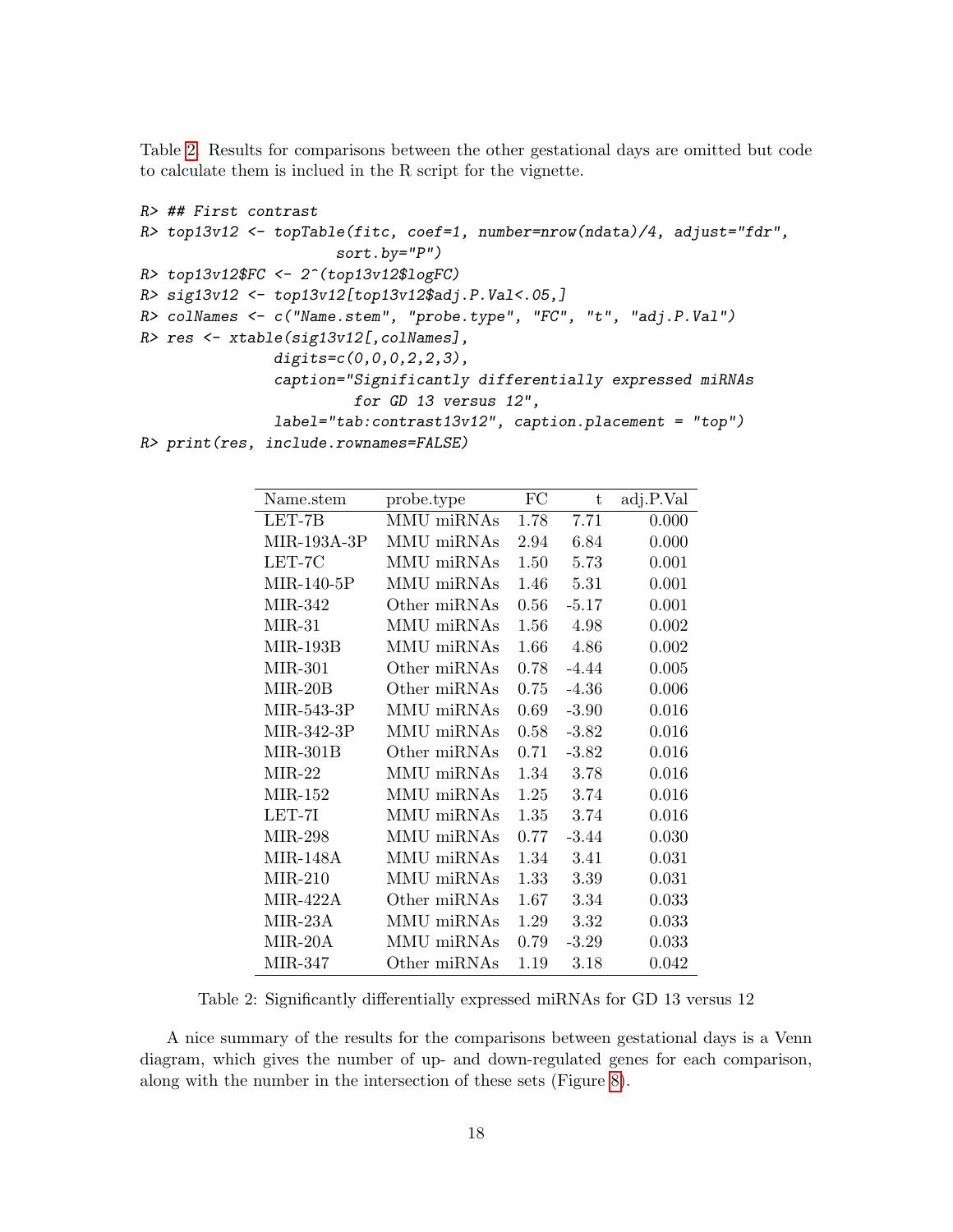Table [2.](#page-17-0) Results for comparisons between the other gestational days are omitted but code to calculate them is inclued in the R script for the vignette.

```
R> ## First contrast
R> top13v12 <- topTable(fitc, coef=1, number=nrow(ndata)/4, adjust="fdr",
                      sort.by="P")
R> top13v12$FC <- 2^(top13v12$logFC)
R> sig13v12 <- top13v12[top13v12$adj.P.Val<.05,]
R> colNames <- c("Name.stem", "probe.type", "FC", "t", "adj.P.Val")
R> res <- xtable(sig13v12[,colNames],
               digits=c(0,0,0,2,2,3),
               caption="Significantly differentially expressed miRNAs
                        for GD 13 versus 12",
               label="tab:contrast13v12", caption.placement = "top")
R> print(res, include.rownames=FALSE)
```

| Name.stem       | probe.type   | FC   | t       | adj.P.Val |
|-----------------|--------------|------|---------|-----------|
| LET-7B          | MMU miRNAs   | 1.78 | 7.71    | 0.000     |
| $MIR-193A-3P$   | MMU miRNAs   | 2.94 | 6.84    | 0.000     |
| LET-7C          | MMU miRNAs   | 1.50 | 5.73    | 0.001     |
| $MIR-140-5P$    | MMU miRNAs   | 1.46 | 5.31    | 0.001     |
| MIR-342         | Other miRNAs | 0.56 | $-5.17$ | 0.001     |
| $MIR-31$        | MMU miRNAs   | 1.56 | 4.98    | 0.002     |
| $MIR-193B$      | MMU miRNAs   | 1.66 | 4.86    | 0.002     |
| MIR-301         | Other miRNAs | 0.78 | $-4.44$ | 0.005     |
| MIR-20B         | Other miRNAs | 0.75 | $-4.36$ | 0.006     |
| MIR-543-3P      | MMU miRNAs   | 0.69 | $-3.90$ | 0.016     |
| MIR-342-3P      | MMU miRNAs   | 0.58 | $-3.82$ | 0.016     |
| $MIR-301B$      | Other miRNAs | 0.71 | $-3.82$ | 0.016     |
| $MIR-22$        | MMU miRNAs   | 1.34 | 3.78    | 0.016     |
| $MIR-152$       | MMU miRNAs   | 1.25 | 3.74    | 0.016     |
| LET-7I          | MMU miRNAs   | 1.35 | 3.74    | 0.016     |
| <b>MIR-298</b>  | MMU miRNAs   | 0.77 | $-3.44$ | 0.030     |
| <b>MIR-148A</b> | MMU miRNAs   | 1.34 | 3.41    | 0.031     |
| $MIR-210$       | MMU miRNAs   | 1.33 | 3.39    | 0.031     |
| $MIR-422A$      | Other miRNAs | 1.67 | 3.34    | 0.033     |
| MIR-23A         | MMU miRNAs   | 1.29 | 3.32    | 0.033     |
| MIR-20A         | MMU miRNAs   | 0.79 | $-3.29$ | 0.033     |
| MIR-347         | Other miRNAs | 1.19 | 3.18    | 0.042     |

<span id="page-17-0"></span>Table 2: Significantly differentially expressed miRNAs for GD 13 versus 12

A nice summary of the results for the comparisons between gestational days is a Venn diagram, which gives the number of up- and down-regulated genes for each comparison, along with the number in the intersection of these sets (Figure [8\)](#page-18-0).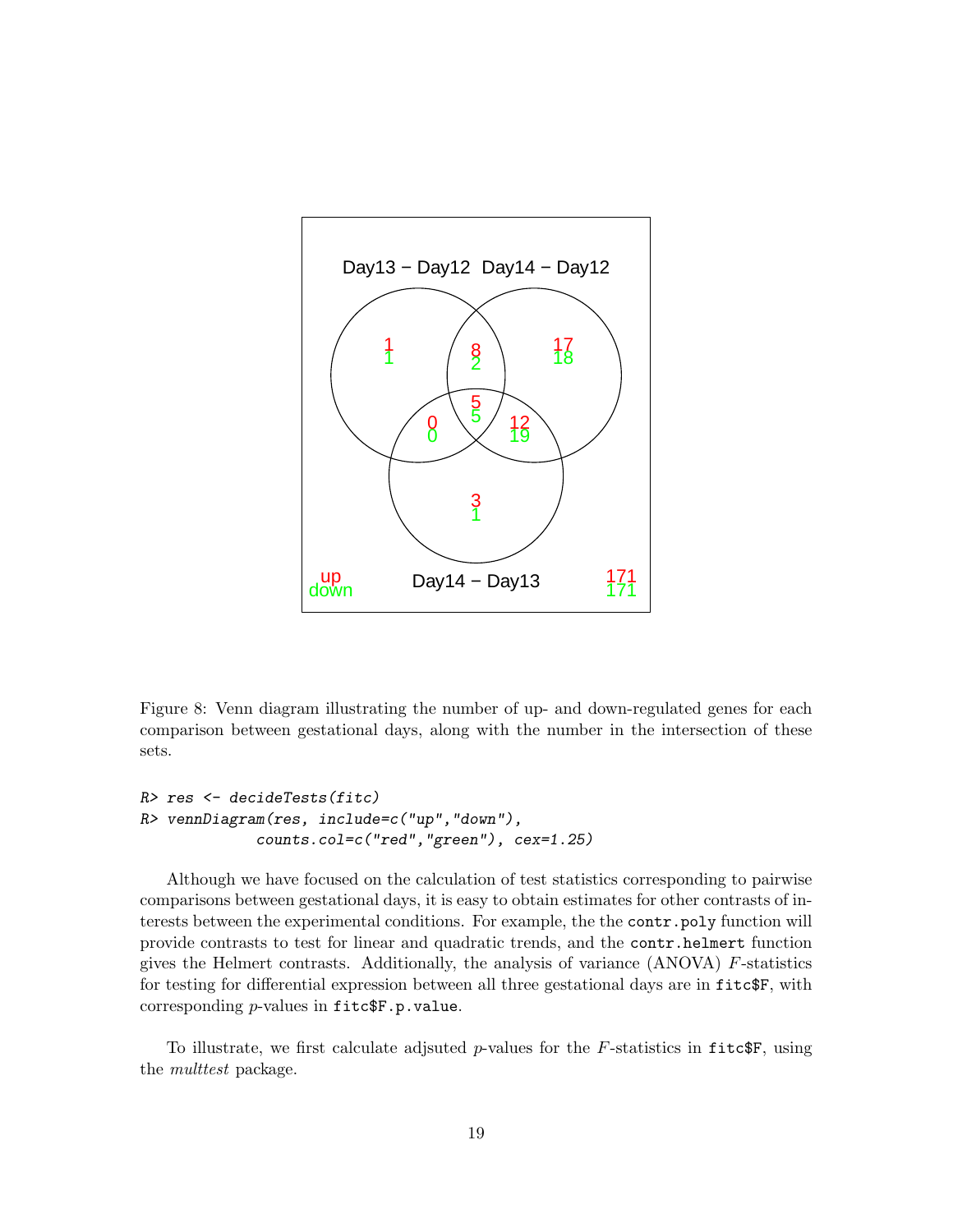

<span id="page-18-0"></span>Figure 8: Venn diagram illustrating the number of up- and down-regulated genes for each comparison between gestational days, along with the number in the intersection of these sets.

```
R> res <- decideTests(fitc)
R> vennDiagram(res, include=c("up","down"),
             counts.col=c("red","green"), cex=1.25)
```
Although we have focused on the calculation of test statistics corresponding to pairwise comparisons between gestational days, it is easy to obtain estimates for other contrasts of interests between the experimental conditions. For example, the the contr.poly function will provide contrasts to test for linear and quadratic trends, and the contr.helmert function gives the Helmert contrasts. Additionally, the analysis of variance (ANOVA) F-statistics for testing for differential expression between all three gestational days are in fitc\$F, with corresponding  $p$ -values in fitc $F.p.v$ alue.

To illustrate, we first calculate adjsuted p-values for the F-statistics in  $\text{fitc}\$ F, using the *multtest* package.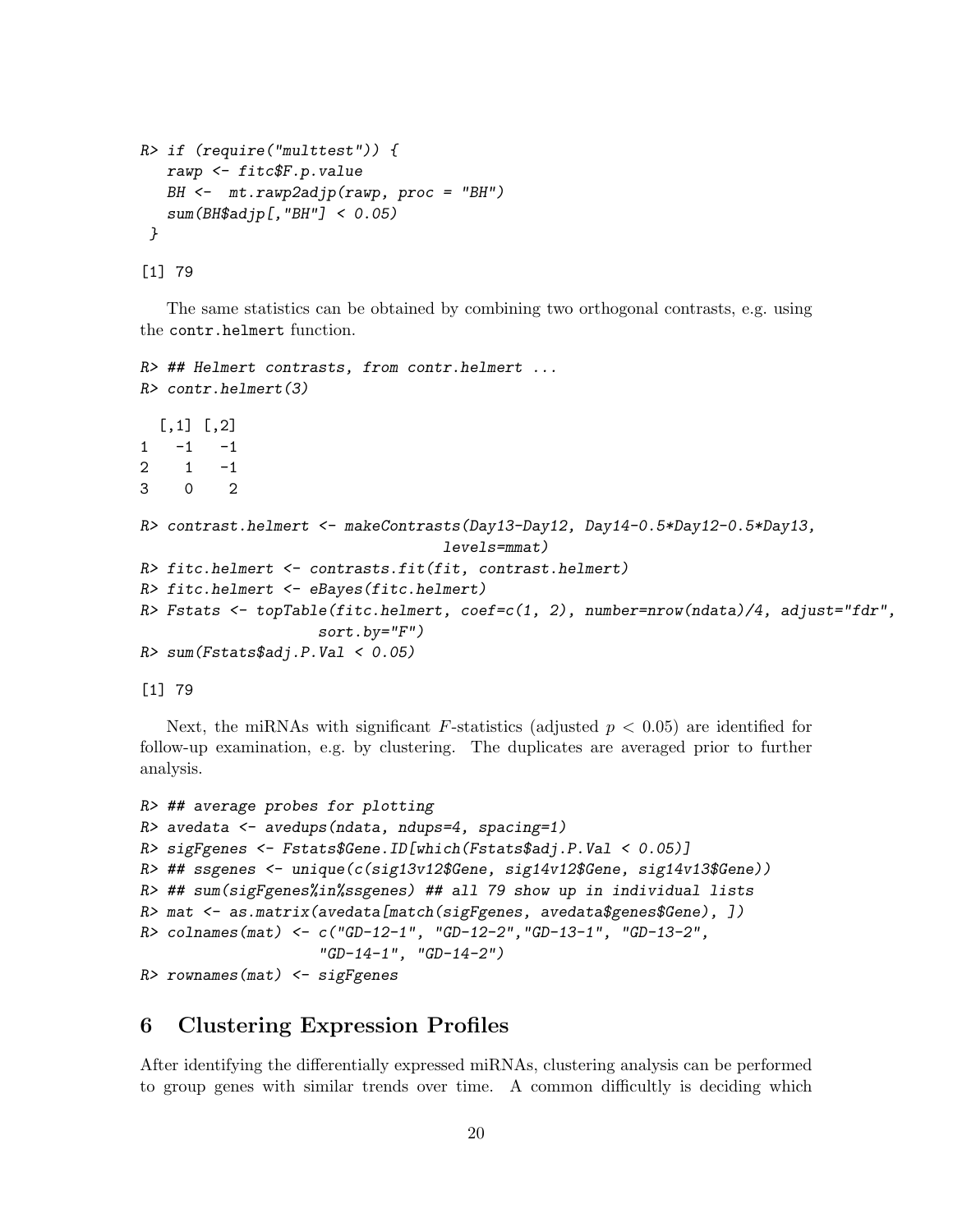```
R> if (require("multtest")) {
   rawp <- fitc$F.p.value
   BH \leftarrow mt.rawp2adjp(rawp, proc = "BH")
   sum(BH$adjp[,"BH"] < 0.05)
 }
```
[1] 79

The same statistics can be obtained by combining two orthogonal contrasts, e.g. using the contr.helmert function.

```
R> ## Helmert contrasts, from contr.helmert ...
R> contr.helmert(3)
  [,1] [,2]1 -1 -12 \t 1 \t -13 0 2
R> contrast.helmert <- makeContrasts(Day13-Day12, Day14-0.5*Day12-0.5*Day13,
                                  levels=mmat)
R> fitc.helmert <- contrasts.fit(fit, contrast.helmert)
R> fitc.helmert <- eBayes(fitc.helmert)
R> Fstats <- topTable(fitc.helmert, coef=c(1, 2), number=nrow(ndata)/4, adjust="fdr",
                    sort.by="F")
R> sum(Fstats$adj.P.Val < 0.05)
```
[1] 79

Next, the miRNAs with significant F-statistics (adjusted  $p < 0.05$ ) are identified for follow-up examination, e.g. by clustering. The duplicates are averaged prior to further analysis.

```
R> ## average probes for plotting
R> avedata <- avedups(ndata, ndups=4, spacing=1)
R> sigFgenes <- Fstats$Gene.ID[which(Fstats$adj.P.Val < 0.05)]
R> ## ssgenes <- unique(c(sig13v12$Gene, sig14v12$Gene, sig14v13$Gene))
R> ## sum(sigFgenes%in%ssgenes) ## all 79 show up in individual lists
R> mat \leq as.matrix(avedata[match(sigFgenes, avedata$genes$Gene), ])
R> colnames(mat) <- c("GD-12-1", "GD-12-2","GD-13-1", "GD-13-2",
                    "GD-14-1", "GD-14-2")
R> rownames(mat) <- sigFgenes
```
## <span id="page-19-0"></span>6 Clustering Expression Profiles

After identifying the differentially expressed miRNAs, clustering analysis can be performed to group genes with similar trends over time. A common difficultly is deciding which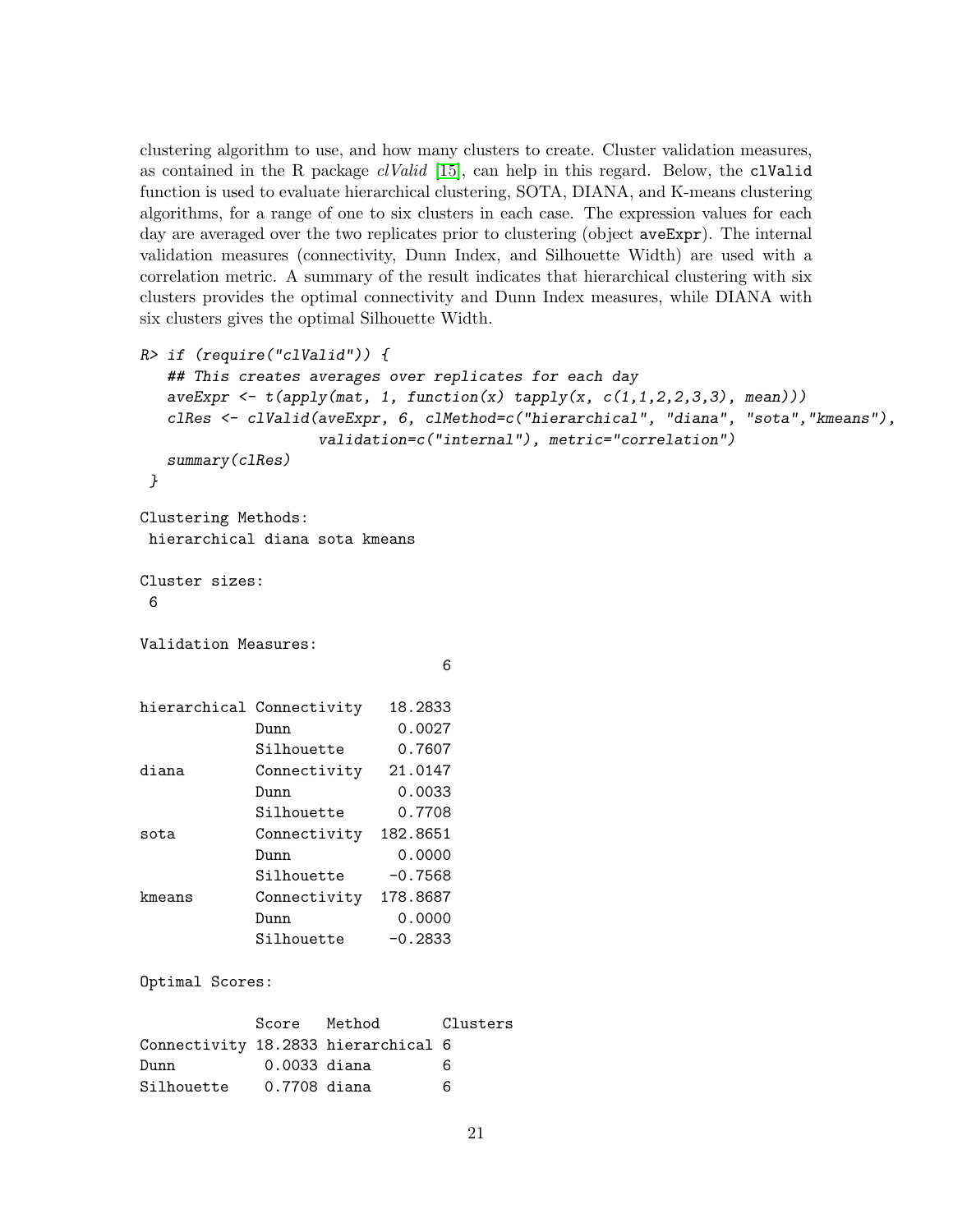clustering algorithm to use, and how many clusters to create. Cluster validation measures, as contained in the R package  $\ell$ Valid [\[15\]](#page-29-6), can help in this regard. Below, the clValid function is used to evaluate hierarchical clustering, SOTA, DIANA, and K-means clustering algorithms, for a range of one to six clusters in each case. The expression values for each day are averaged over the two replicates prior to clustering (object ave Expr). The internal validation measures (connectivity, Dunn Index, and Silhouette Width) are used with a correlation metric. A summary of the result indicates that hierarchical clustering with six clusters provides the optimal connectivity and Dunn Index measures, while DIANA with six clusters gives the optimal Silhouette Width.

```
R> if (require("clValid")) {
  ## This creates averages over replicates for each day
  aveExpr \leq t (apply(mat, 1, function(x) tapply(x, c(1,1,2,2,3,3), mean)))
  clRes <- clValid(aveExpr, 6, clMethod=c("hierarchical", "diana", "sota","kmeans"),
                 validation=c("internal"), metric="correlation")
  summary(clRes)
}
Clustering Methods:
hierarchical diana sota kmeans
Cluster sizes:
6
Validation Measures:
                             6
hierarchical Connectivity 18.2833
           Dunn 0.0027
           Silhouette 0.7607
diana Connectivity 21.0147
           Dunn 0.0033
           Silhouette 0.7708
sota Connectivity 182.8651
           Dunn 0.0000
           Silhouette -0.7568
kmeans Connectivity 178.8687
           Dunn 0.0000
           Silhouette -0.2833
Optimal Scores:
           Score Method Clusters
Connectivity 18.2833 hierarchical 6
Dunn 0.0033 diana 6
Silhouette 0.7708 diana 6
```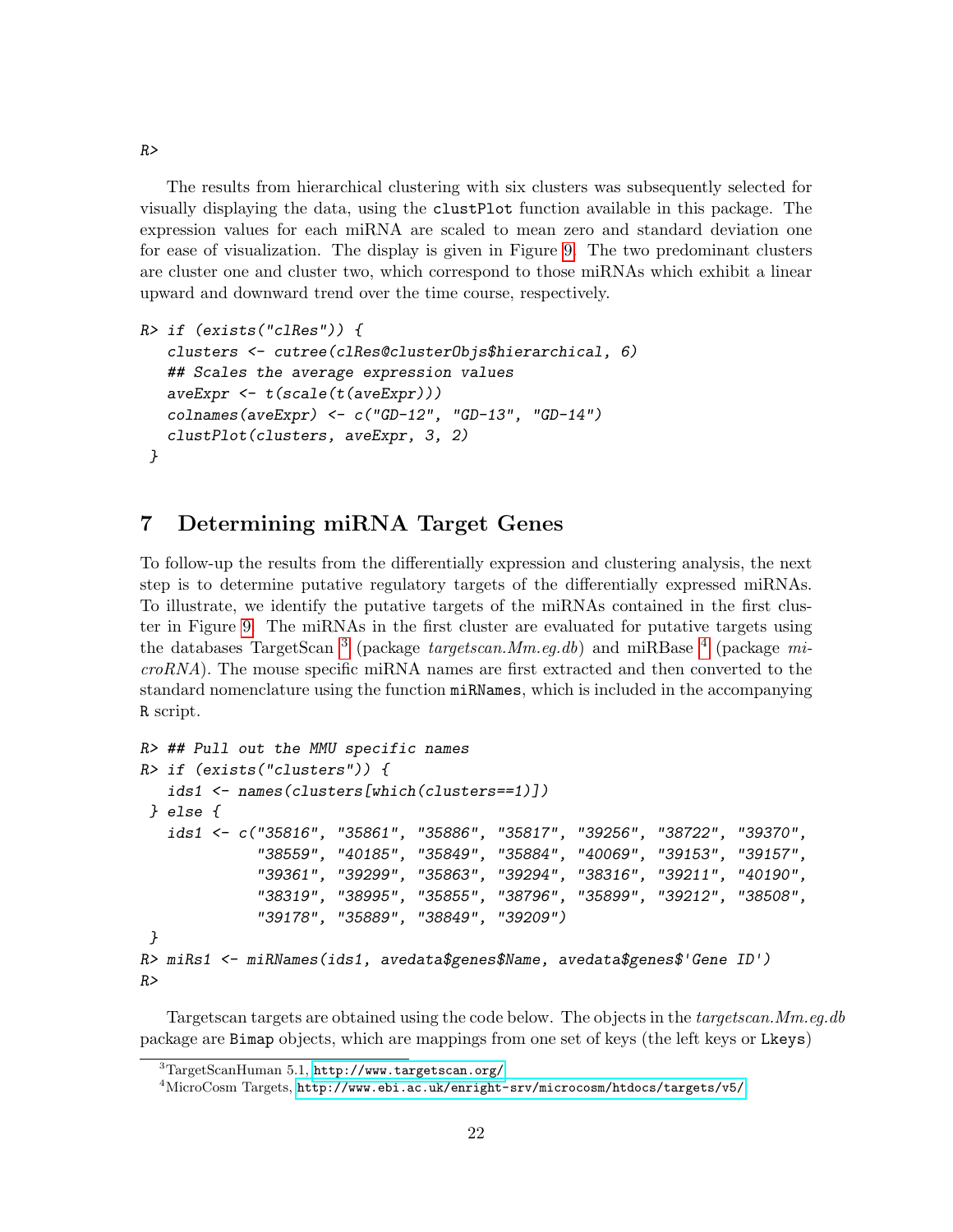The results from hierarchical clustering with six clusters was subsequently selected for visually displaying the data, using the clustPlot function available in this package. The expression values for each miRNA are scaled to mean zero and standard deviation one for ease of visualization. The display is given in Figure [9.](#page-22-0) The two predominant clusters are cluster one and cluster two, which correspond to those miRNAs which exhibit a linear upward and downward trend over the time course, respectively.

```
R> if (exists("clRes")) {
   clusters <- cutree(clRes@clusterObjs$hierarchical, 6)
   ## Scales the average expression values
   aveExpr <- t(scale(t(aveExpr)))
   collnames(\text{aveExpr}) \leftarrow c("GD-12", "GD-13", "GD-14")clustPlot(clusters, aveExpr, 3, 2)
 }
```
# <span id="page-21-0"></span>7 Determining miRNA Target Genes

To follow-up the results from the differentially expression and clustering analysis, the next step is to determine putative regulatory targets of the differentially expressed miRNAs. To illustrate, we identify the putative targets of the miRNAs contained in the first cluster in Figure [9.](#page-22-0) The miRNAs in the first cluster are evaluated for putative targets using the databases TargetScan <sup>[3](#page-21-1)</sup> (package *targetscan.Mm.eg.db*) and miRBase <sup>[4](#page-21-2)</sup> (package mi $croRNA$ ). The mouse specific miRNA names are first extracted and then converted to the standard nomenclature using the function miRNames, which is included in the accompanying R script.

```
R> ## Pull out the MMU specific names
R> if (exists("clusters")) {
   ids1 <- names(clusters[which(clusters==1)])
 } else {
   ids1 <- c("35816", "35861", "35886", "35817", "39256", "38722", "39370",
             "38559", "40185", "35849", "35884", "40069", "39153", "39157",
             "39361", "39299", "35863", "39294", "38316", "39211", "40190",
             "38319", "38995", "35855", "38796", "35899", "39212", "38508",
             "39178", "35889", "38849", "39209")
}
R> miRs1 <- miRNames(ids1, avedata$genes$Name, avedata$genes$'Gene ID')
R>
```
Targetscan targets are obtained using the code below. The objects in the targetscan.Mm.eg.db package are Bimap objects, which are mappings from one set of keys (the left keys or Lkeys)

 $R>$ 

<span id="page-21-1"></span> $3$ TargetScanHuman 5.1, <http://www.targetscan.org/>

<span id="page-21-2"></span><sup>4</sup>MicroCosm Targets, <http://www.ebi.ac.uk/enright-srv/microcosm/htdocs/targets/v5/>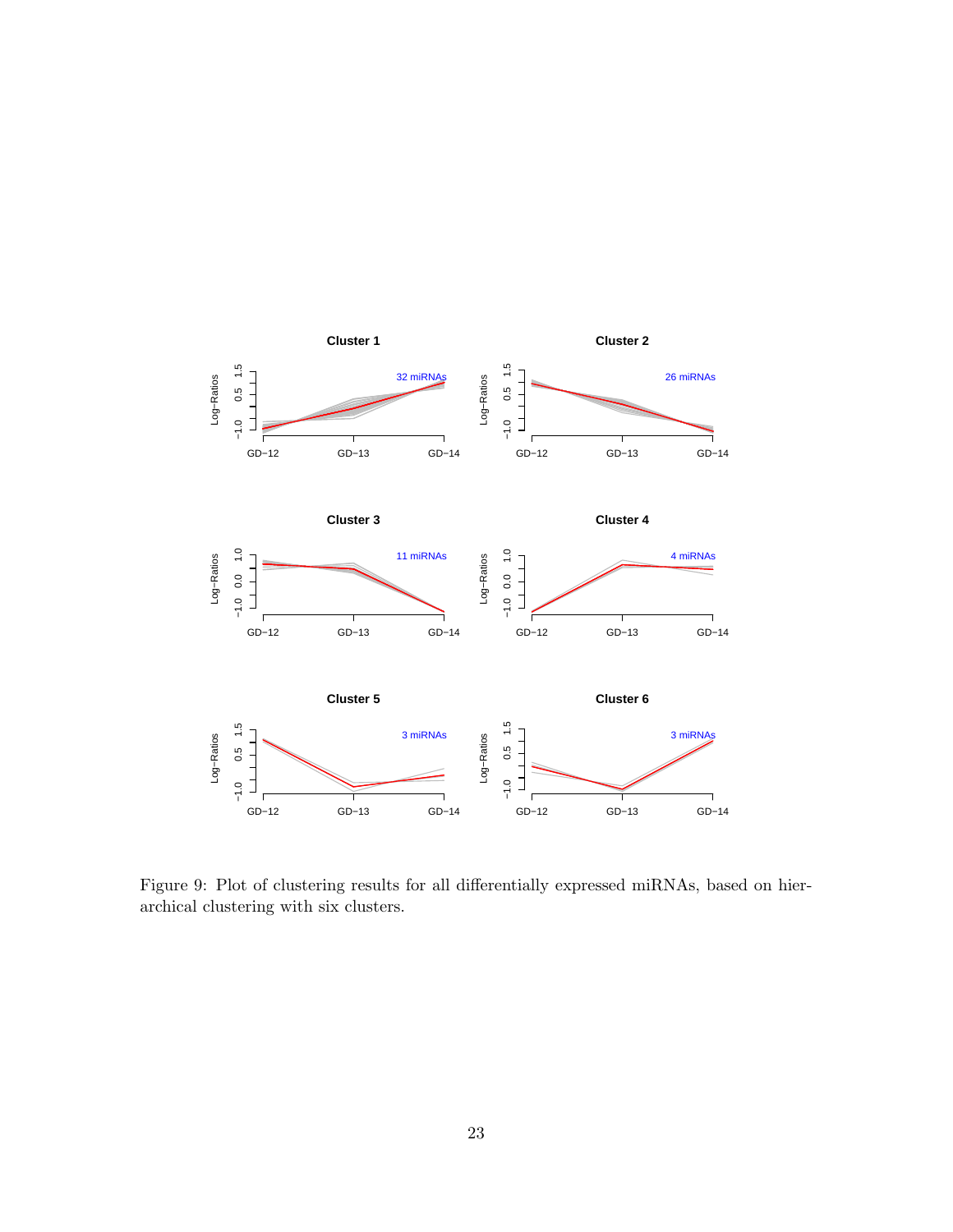

<span id="page-22-0"></span>Figure 9: Plot of clustering results for all differentially expressed miRNAs, based on hierarchical clustering with six clusters.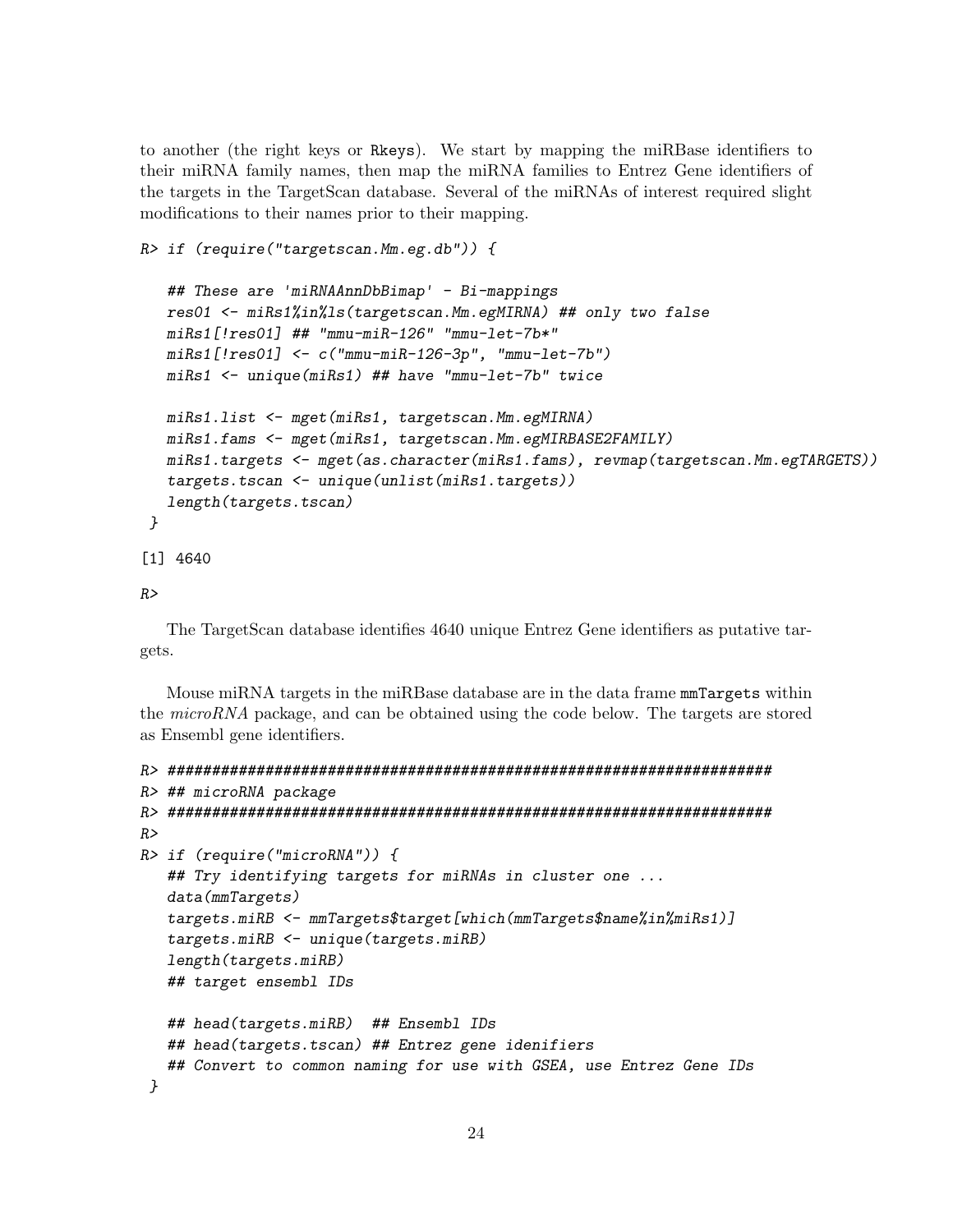to another (the right keys or Rkeys). We start by mapping the miRBase identifiers to their miRNA family names, then map the miRNA families to Entrez Gene identifiers of the targets in the TargetScan database. Several of the miRNAs of interest required slight modifications to their names prior to their mapping.

```
R> if (require("targetscan.Mm.eg.db")) {
```

```
## These are 'miRNAAnnDbBimap' - Bi-mappings
  res01 <- miRs1%in%ls(targetscan.Mm.egMIRNA) ## only two false
  miRs1[!res01] ## "mmu-miR-126" "mmu-let-7b*"
  miRs1[!res01] <- c("mmu-miR-126-3p", "mmu-let-7b")
  miRs1 <- unique(miRs1) ## have "mmu-let-7b" twice
  miRs1.list <- mget(miRs1, targetscan.Mm.egMIRNA)
  miRs1.fams <- mget(miRs1, targetscan.Mm.egMIRBASE2FAMILY)
  miRs1.targets <- mget(as.character(miRs1.fams), revmap(targetscan.Mm.egTARGETS))
  targets.tscan <- unique(unlist(miRs1.targets))
  length(targets.tscan)
}
[1] 4640
```
R>

The TargetScan database identifies 4640 unique Entrez Gene identifiers as putative targets.

Mouse miRNA targets in the miRBase database are in the data frame mmTargets within the microRNA package, and can be obtained using the code below. The targets are stored as Ensembl gene identifiers.

```
R> ####################################################################
R> ## microRNA package
R> ####################################################################
R>R> if (require("microRNA")) {
   ## Try identifying targets for miRNAs in cluster one ...
   data(mmTargets)
   targets.miRB <- mmTargets$target[which(mmTargets$name%in%miRs1)]
   targets.miRB <- unique(targets.miRB)
   length(targets.miRB)
   ## target ensembl IDs
   ## head(targets.miRB) ## Ensembl IDs
   ## head(targets.tscan) ## Entrez gene idenifiers
   ## Convert to common naming for use with GSEA, use Entrez Gene IDs
 }
```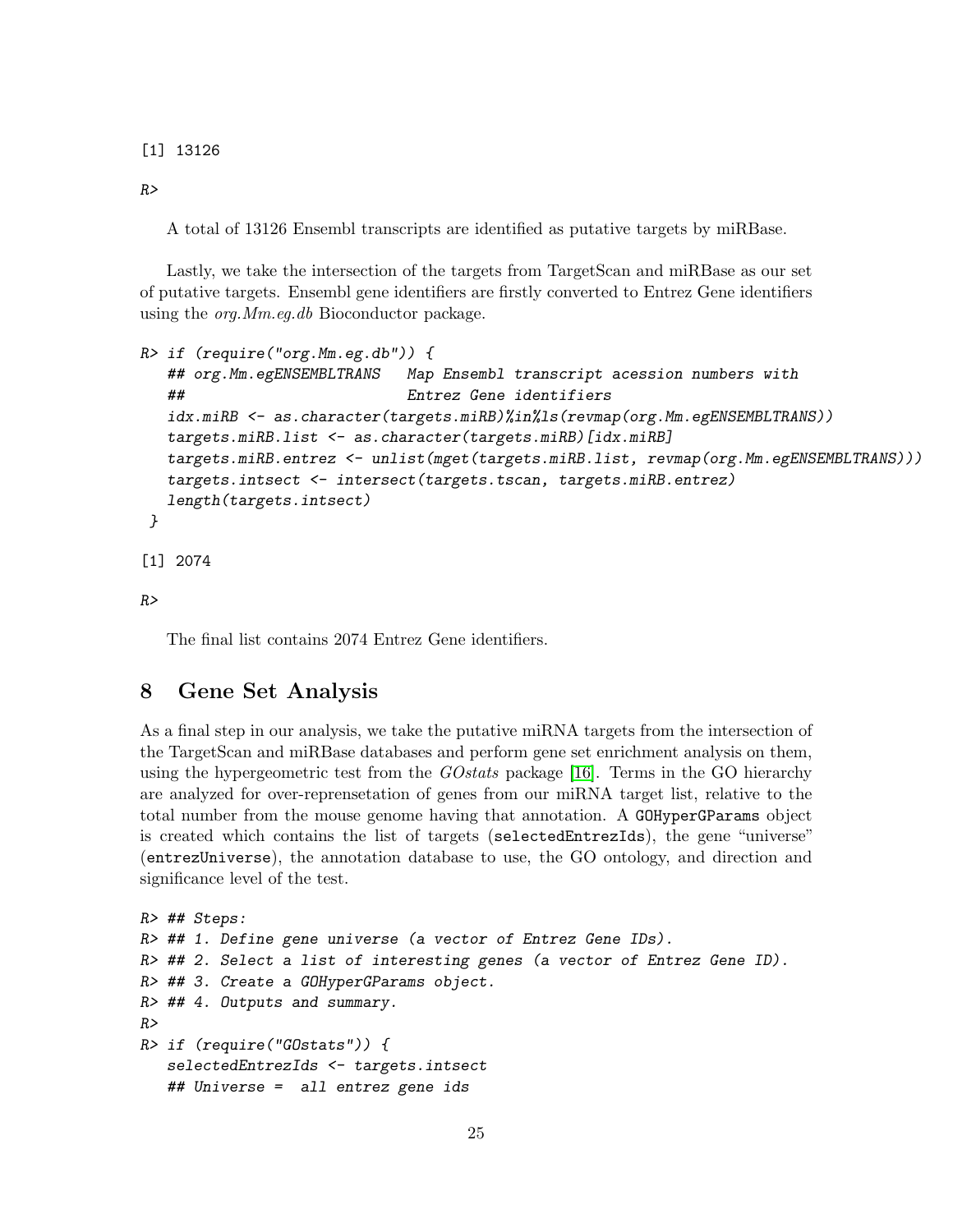[1] 13126

 $R>$ 

A total of 13126 Ensembl transcripts are identified as putative targets by miRBase.

Lastly, we take the intersection of the targets from TargetScan and miRBase as our set of putative targets. Ensembl gene identifiers are firstly converted to Entrez Gene identifiers using the *org.Mm.eg.db* Bioconductor package.

```
R> if (require("org.Mm.eg.db")) {
   ## org.Mm.egENSEMBLTRANS Map Ensembl transcript acession numbers with
   ## Entrez Gene identifiers
   idx.miRB <- as.character(targets.miRB)%in%ls(revmap(org.Mm.egENSEMBLTRANS))
   targets.miRB.list <- as.character(targets.miRB)[idx.miRB]
   targets.miRB.entrez <- unlist(mget(targets.miRB.list, revmap(org.Mm.egENSEMBLTRANS)))
   targets.intsect <- intersect(targets.tscan, targets.miRB.entrez)
   length(targets.intsect)
 }
[1] 2074
```
 $R>$ 

The final list contains 2074 Entrez Gene identifiers.

### <span id="page-24-0"></span>8 Gene Set Analysis

As a final step in our analysis, we take the putative miRNA targets from the intersection of the TargetScan and miRBase databases and perform gene set enrichment analysis on them, using the hypergeometric test from the  $GO$ stats package [\[16\]](#page-29-7). Terms in the GO hierarchy are analyzed for over-reprensetation of genes from our miRNA target list, relative to the total number from the mouse genome having that annotation. A GOHyperGParams object is created which contains the list of targets (selectedEntrezIds), the gene "universe" (entrezUniverse), the annotation database to use, the GO ontology, and direction and significance level of the test.

```
R> ## Steps:
R> ## 1. Define gene universe (a vector of Entrez Gene IDs).
R> ## 2. Select a list of interesting genes (a vector of Entrez Gene ID).
R> ## 3. Create a GOHyperGParams object.
R> ## 4. Outputs and summary.
R>R> if (require("GOstats")) {
   selectedEntrezIds <- targets.intsect
   ## Universe = all entrez gene ids
```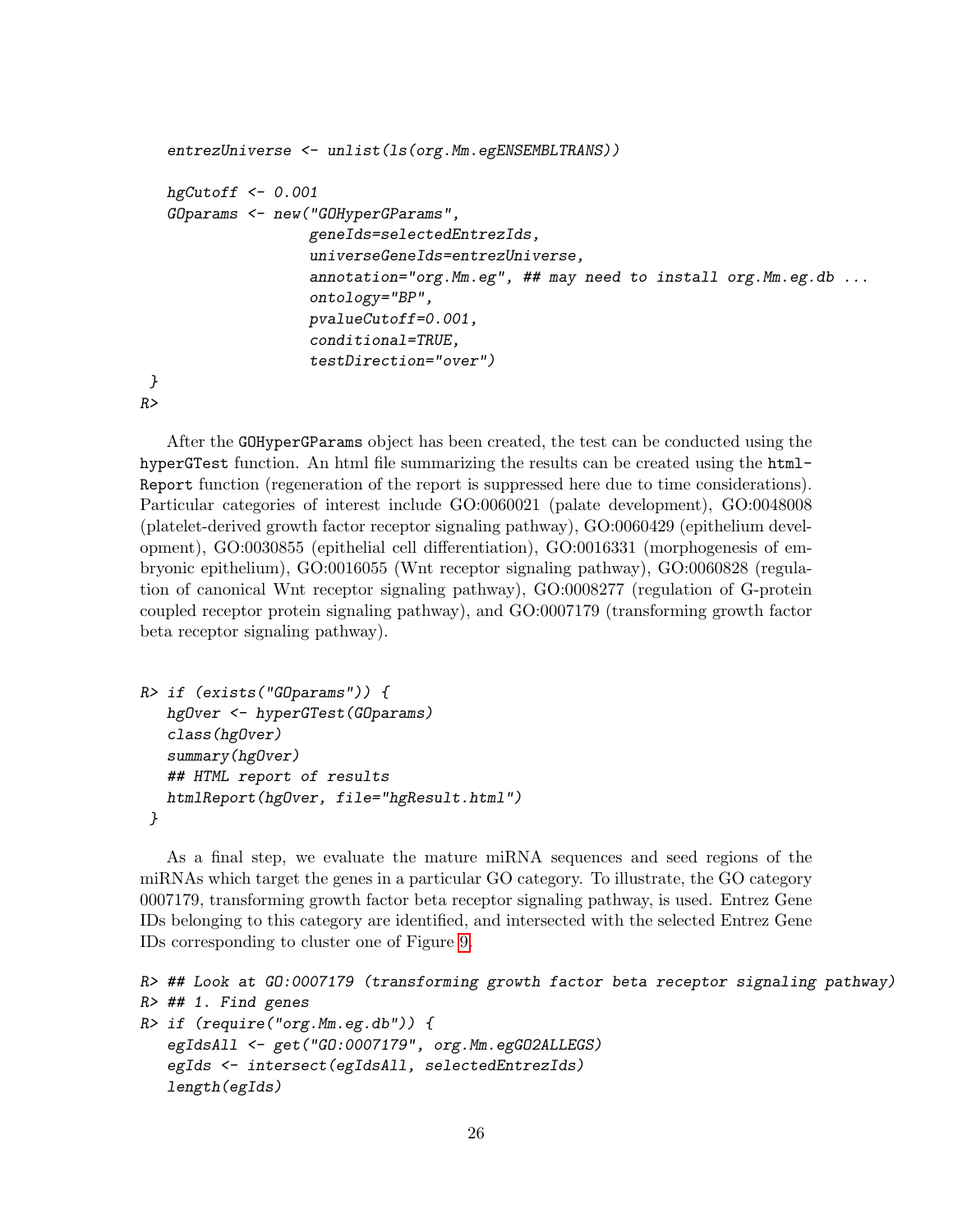```
entrezUniverse <- unlist(ls(org.Mm.egENSEMBLTRANS))
   hgCutoff \leftarrow 0.001GOparams <- new("GOHyperGParams",
                   geneIds=selectedEntrezIds,
                   universeGeneIds=entrezUniverse,
                   annotation="org.Mm.eg", ## may need to install org.Mm.eg.db ...
                   ontology="BP",
                   pvalueCutoff=0.001,
                   conditional=TRUE,
                   testDirection="over")
}
R>
```
After the GOHyperGParams object has been created, the test can be conducted using the hyperGTest function. An html file summarizing the results can be created using the html-Report function (regeneration of the report is suppressed here due to time considerations). Particular categories of interest include GO:0060021 (palate development), GO:0048008 (platelet-derived growth factor receptor signaling pathway), GO:0060429 (epithelium development), GO:0030855 (epithelial cell differentiation), GO:0016331 (morphogenesis of embryonic epithelium), GO:0016055 (Wnt receptor signaling pathway), GO:0060828 (regulation of canonical Wnt receptor signaling pathway), GO:0008277 (regulation of G-protein coupled receptor protein signaling pathway), and GO:0007179 (transforming growth factor beta receptor signaling pathway).

```
R> if (exists("GOparams")) {
   hgOver <- hyperGTest(GOparams)
   class(hgOver)
   summary(hgOver)
   ## HTML report of results
  htmlReport(hgOver, file="hgResult.html")
 }
```
As a final step, we evaluate the mature miRNA sequences and seed regions of the miRNAs which target the genes in a particular GO category. To illustrate, the GO category 0007179, transforming growth factor beta receptor signaling pathway, is used. Entrez Gene IDs belonging to this category are identified, and intersected with the selected Entrez Gene IDs corresponding to cluster one of Figure [9.](#page-22-0)

```
R> ## Look at GO:0007179 (transforming growth factor beta receptor signaling pathway)
R> ## 1. Find genes
R> if (require("org.Mm.eg.db")) {
   egIdsAll <- get("GO:0007179", org.Mm.egGO2ALLEGS)
   egIds <- intersect(egIdsAll, selectedEntrezIds)
   length(egIds)
```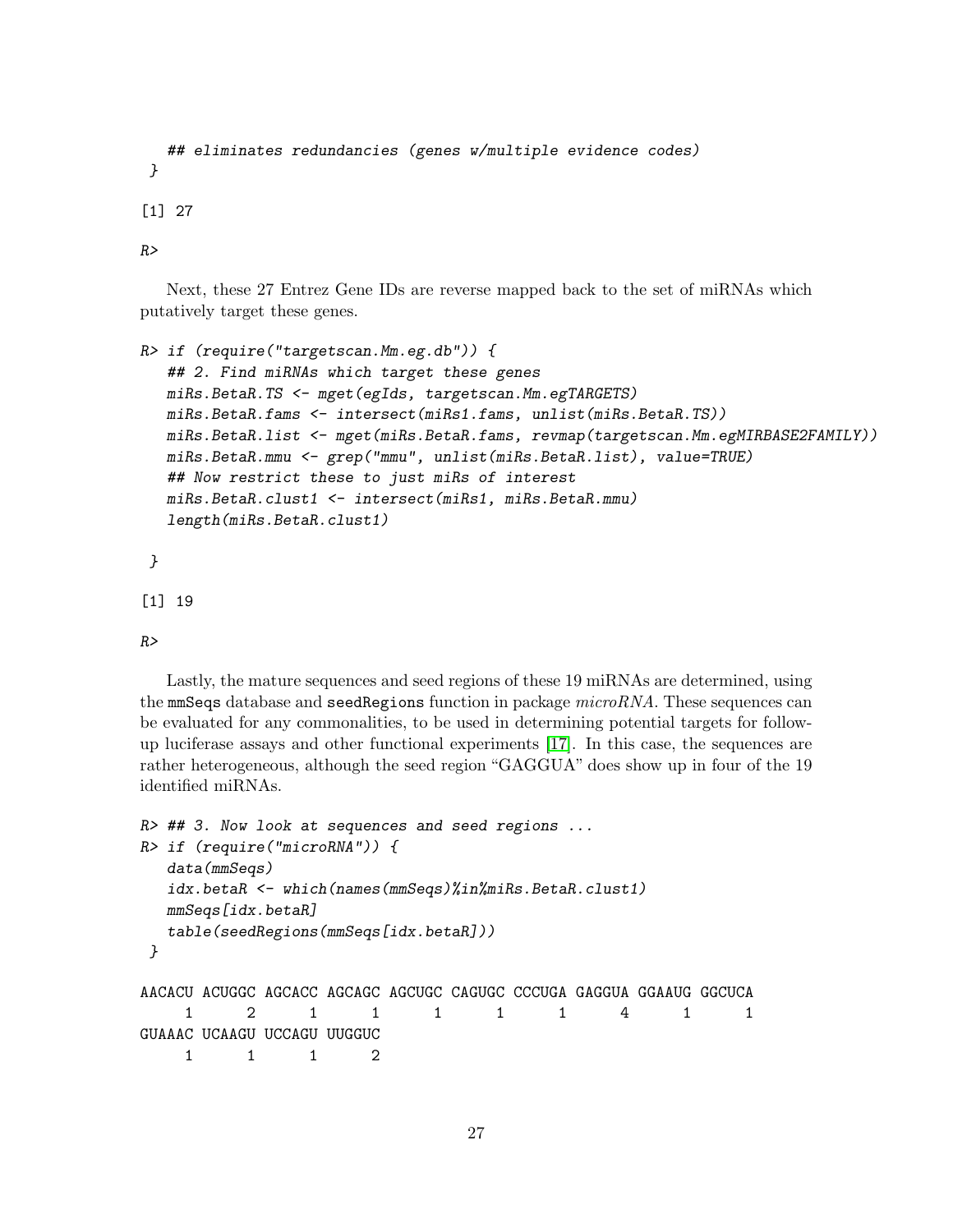```
## eliminates redundancies (genes w/multiple evidence codes)
}
```
[1] 27

 $R>$ 

Next, these 27 Entrez Gene IDs are reverse mapped back to the set of miRNAs which putatively target these genes.

```
R> if (require("targetscan.Mm.eg.db")) {
   ## 2. Find miRNAs which target these genes
  miRs.BetaR.TS <- mget(egIds, targetscan.Mm.egTARGETS)
  miRs.BetaR.fams <- intersect(miRs1.fams, unlist(miRs.BetaR.TS))
  miRs.BetaR.list <- mget(miRs.BetaR.fams, revmap(targetscan.Mm.egMIRBASE2FAMILY))
  miRs.BetaR.mmu <- grep("mmu", unlist(miRs.BetaR.list), value=TRUE)
   ## Now restrict these to just miRs of interest
  miRs.BetaR.clust1 <- intersect(miRs1, miRs.BetaR.mmu)
   length(miRs.BetaR.clust1)
}
[1] 19
```
 $R>$ 

Lastly, the mature sequences and seed regions of these 19 miRNAs are determined, using the mmSeqs database and seedRegions function in package  $microRNA$ . These sequences can be evaluated for any commonalities, to be used in determining potential targets for followup luciferase assays and other functional experiments [\[17\]](#page-29-8). In this case, the sequences are rather heterogeneous, although the seed region "GAGGUA" does show up in four of the 19 identified miRNAs.

```
R \neq H \neq 3. Now look at sequences and seed regions ...
R> if (require("microRNA")) {
  data(mmSeqs)
  idx.betaR <- which(names(mmSeqs)%in%miRs.BetaR.clust1)
  mmSeqs[idx.betaR]
  table(seedRegions(mmSeqs[idx.betaR]))
}
AACACU ACUGGC AGCACC AGCAGC AGCUGC CAGUGC CCCUGA GAGGUA GGAAUG GGCUCA
    1 2 1 1 1 1 1 4 1 1
GUAAAC UCAAGU UCCAGU UUGGUC
    1 1 1 2
```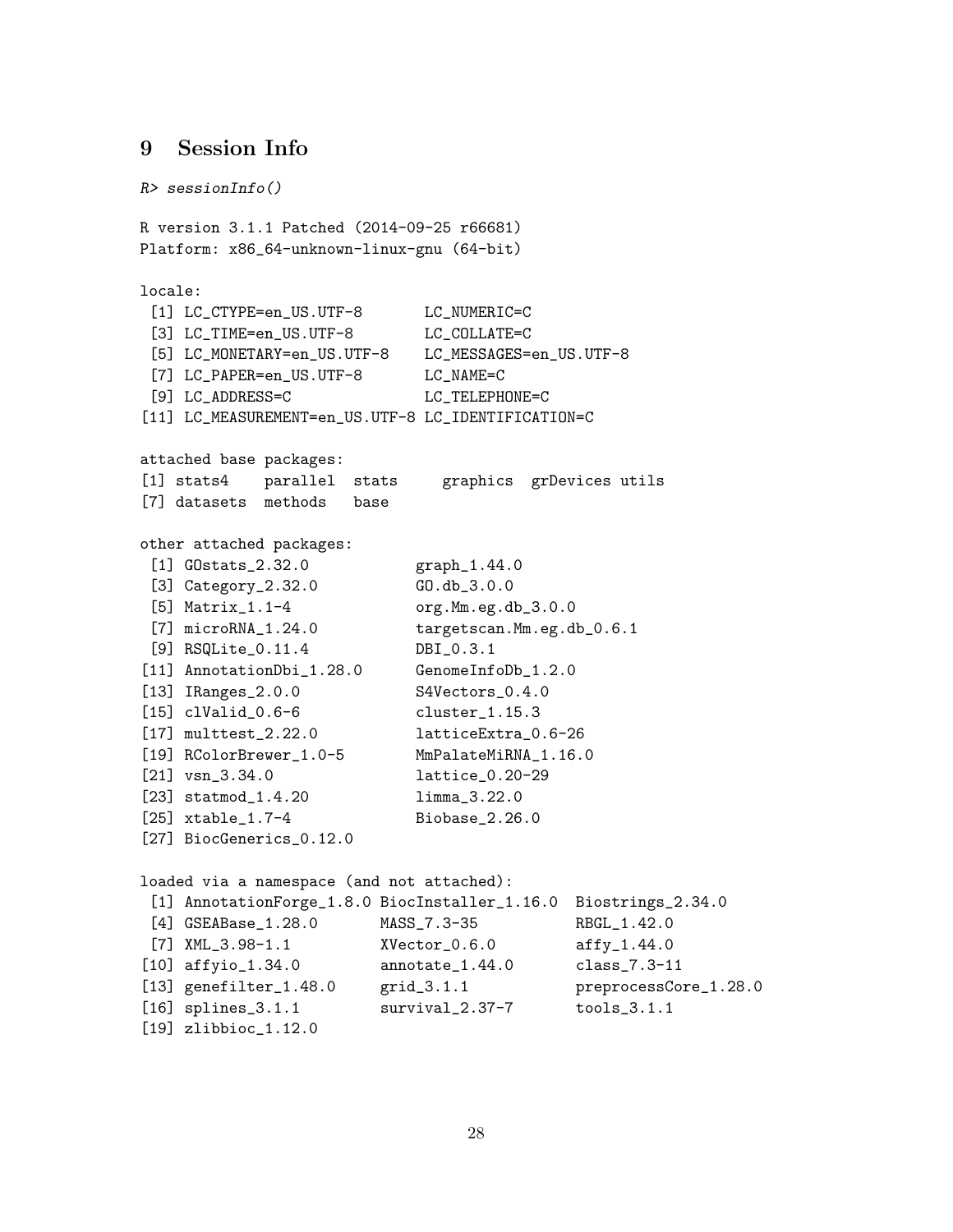# <span id="page-27-0"></span>9 Session Info

```
R> sessionInfo()
R version 3.1.1 Patched (2014-09-25 r66681)
Platform: x86_64-unknown-linux-gnu (64-bit)
locale:
 [1] LC_CTYPE=en_US.UTF-8 LC_NUMERIC=C
 [3] LC_TIME=en_US.UTF-8 LC_COLLATE=C
 [5] LC_MONETARY=en_US.UTF-8 LC_MESSAGES=en_US.UTF-8
 [7] LC_PAPER=en_US.UTF-8 LC_NAME=C
 [9] LC_ADDRESS=C LC_TELEPHONE=C
[11] LC_MEASUREMENT=en_US.UTF-8 LC_IDENTIFICATION=C
attached base packages:
[1] stats4 parallel stats graphics grDevices utils
[7] datasets methods base
other attached packages:
 [1] GOstats_2.32.0 graph_1.44.0
 [3] Category_2.32.0 GD.db_3.0.0
 [5] Matrix_1.1-4 org.Mm.eg.db_3.0.0
 [7] microRNA_1.24.0 targetscan.Mm.eg.db_0.6.1
 [9] RSQLite_0.11.4 DBI_0.3.1
[11] AnnotationDbi_1.28.0 GenomeInfoDb_1.2.0
[13] IRanges_2.0.0 S4Vectors_0.4.0
[15] clValid_0.6-6 cluster_1.15.3
[17] multtest_2.22.0 latticeExtra_0.6-26
[19] RColorBrewer_1.0-5 MmPalateMiRNA_1.16.0
[21] vsn_3.34.0 lattice_0.20-29
[23] statmod_1.4.20 limma_3.22.0
[25] xtable_1.7-4 Biobase_2.26.0
[27] BiocGenerics_0.12.0
loaded via a namespace (and not attached):
 [1] AnnotationForge_1.8.0 BiocInstaller_1.16.0 Biostrings_2.34.0
 [4] GSEABase_1.28.0 MASS_7.3-35 RBGL_1.42.0
 [7] XML_3.98-1.1 XVector_0.6.0 affy_1.44.0
[10] affyio_1.34.0 annotate_1.44.0 class_7.3-11
[13] genefilter_1.48.0 grid_3.1.1 preprocessCore_1.28.0
[16] splines_3.1.1 survival_2.37-7 tools_3.1.1
[19] zlibbioc_1.12.0
```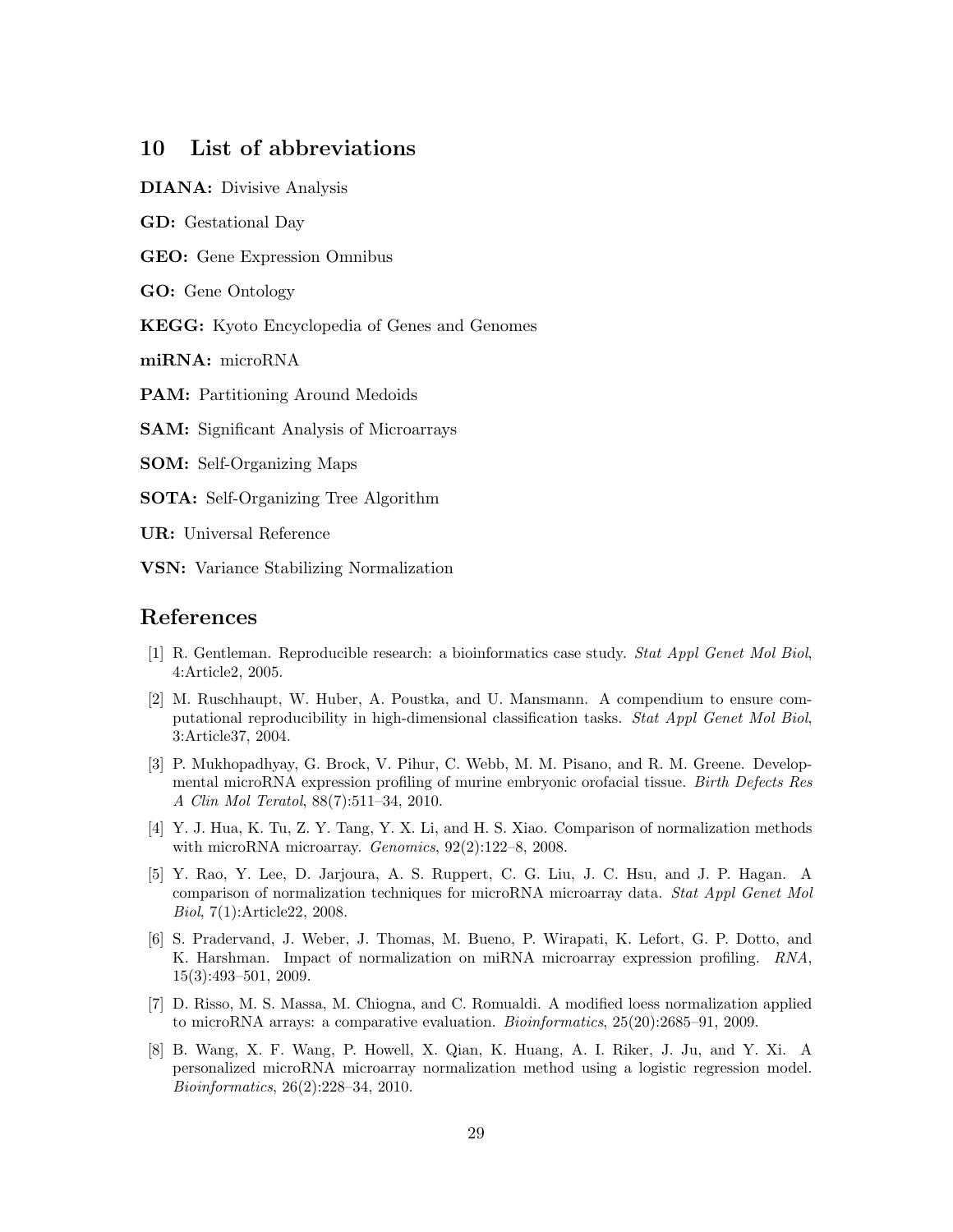# <span id="page-28-0"></span>10 List of abbreviations

DIANA: Divisive Analysis

GD: Gestational Day

GEO: Gene Expression Omnibus

GO: Gene Ontology

KEGG: Kyoto Encyclopedia of Genes and Genomes

miRNA: microRNA

PAM: Partitioning Around Medoids

SAM: Significant Analysis of Microarrays

SOM: Self-Organizing Maps

SOTA: Self-Organizing Tree Algorithm

UR: Universal Reference

VSN: Variance Stabilizing Normalization

### References

- <span id="page-28-1"></span>[1] R. Gentleman. Reproducible research: a bioinformatics case study. Stat Appl Genet Mol Biol, 4:Article2, 2005.
- <span id="page-28-2"></span>[2] M. Ruschhaupt, W. Huber, A. Poustka, and U. Mansmann. A compendium to ensure computational reproducibility in high-dimensional classification tasks. Stat Appl Genet Mol Biol, 3:Article37, 2004.
- <span id="page-28-3"></span>[3] P. Mukhopadhyay, G. Brock, V. Pihur, C. Webb, M. M. Pisano, and R. M. Greene. Developmental microRNA expression profiling of murine embryonic orofacial tissue. Birth Defects Res A Clin Mol Teratol, 88(7):511–34, 2010.
- <span id="page-28-4"></span>[4] Y. J. Hua, K. Tu, Z. Y. Tang, Y. X. Li, and H. S. Xiao. Comparison of normalization methods with microRNA microarray. Genomics, 92(2):122–8, 2008.
- <span id="page-28-5"></span>[5] Y. Rao, Y. Lee, D. Jarjoura, A. S. Ruppert, C. G. Liu, J. C. Hsu, and J. P. Hagan. A comparison of normalization techniques for microRNA microarray data. Stat Appl Genet Mol Biol, 7(1):Article22, 2008.
- <span id="page-28-6"></span>[6] S. Pradervand, J. Weber, J. Thomas, M. Bueno, P. Wirapati, K. Lefort, G. P. Dotto, and K. Harshman. Impact of normalization on miRNA microarray expression profiling. RNA, 15(3):493–501, 2009.
- <span id="page-28-7"></span>[7] D. Risso, M. S. Massa, M. Chiogna, and C. Romualdi. A modified loess normalization applied to microRNA arrays: a comparative evaluation. Bioinformatics, 25(20):2685–91, 2009.
- <span id="page-28-8"></span>[8] B. Wang, X. F. Wang, P. Howell, X. Qian, K. Huang, A. I. Riker, J. Ju, and Y. Xi. A personalized microRNA microarray normalization method using a logistic regression model. Bioinformatics, 26(2):228–34, 2010.